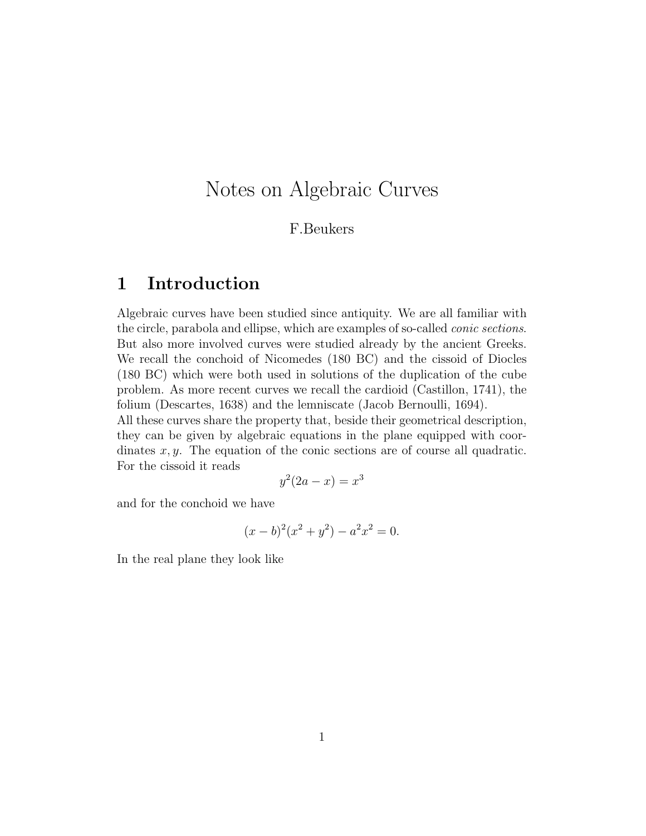# Notes on Algebraic Curves

#### F.Beukers

## 1 Introduction

Algebraic curves have been studied since antiquity. We are all familiar with the circle, parabola and ellipse, which are examples of so-called *conic sections*. But also more involved curves were studied already by the ancient Greeks. We recall the conchoid of Nicomedes (180 BC) and the cissoid of Diocles (180 BC) which were both used in solutions of the duplication of the cube problem. As more recent curves we recall the cardioid (Castillon, 1741), the folium (Descartes, 1638) and the lemniscate (Jacob Bernoulli, 1694).

All these curves share the property that, beside their geometrical description, they can be given by algebraic equations in the plane equipped with coordinates  $x, y$ . The equation of the conic sections are of course all quadratic. For the cissoid it reads

$$
y^2(2a - x) = x^3
$$

and for the conchoid we have

$$
(x - b)^2(x^2 + y^2) - a^2x^2 = 0.
$$

In the real plane they look like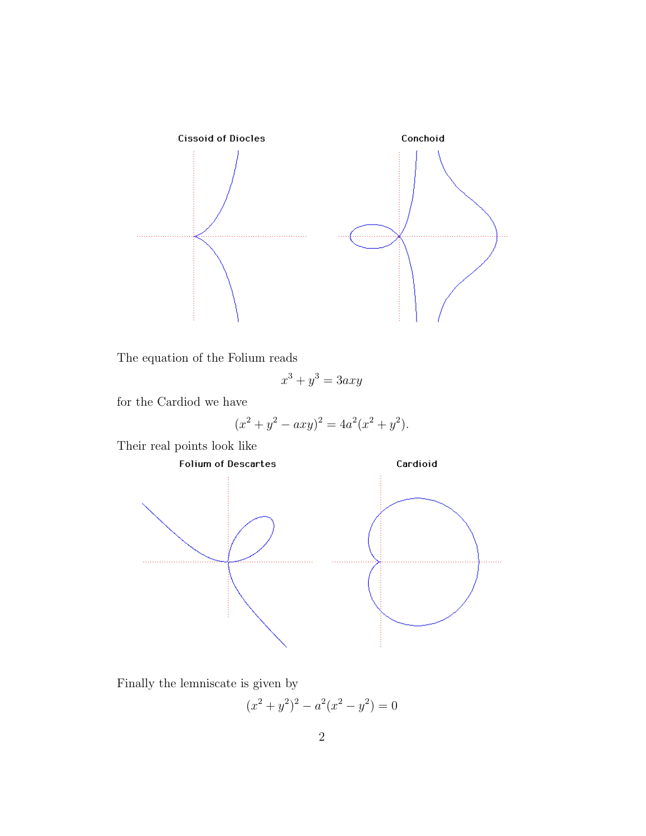

The equation of the Folium reads

$$
x^3 + y^3 = 3axy
$$

for the Cardiod we have

$$
(x2 + y2 - axy)2 = 4a2(x2 + y2).
$$

Their real points look like



Finally the lemniscate is given by

$$
(x^2 + y^2)^2 - a^2(x^2 - y^2) = 0
$$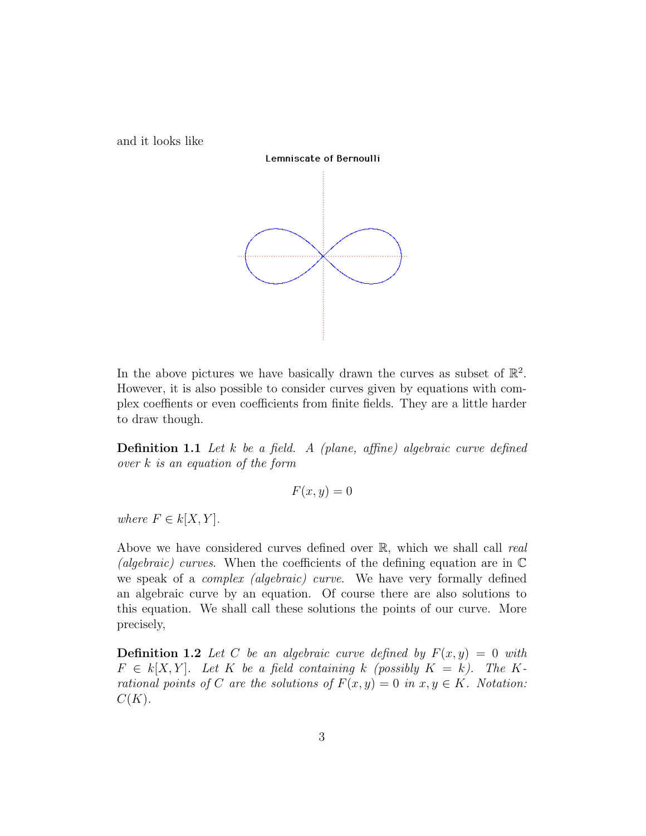and it looks like



In the above pictures we have basically drawn the curves as subset of  $\mathbb{R}^2$ . However, it is also possible to consider curves given by equations with complex coeffients or even coefficients from finite fields. They are a little harder to draw though.

**Definition 1.1** Let  $k$  be a field. A (plane, affine) algebraic curve defined over k is an equation of the form

$$
F(x,y) = 0
$$

where  $F \in k[X, Y]$ .

Above we have considered curves defined over  $\mathbb{R}$ , which we shall call real (algebraic) curves. When the coefficients of the defining equation are in  $\mathbb C$ we speak of a complex (algebraic) curve. We have very formally defined an algebraic curve by an equation. Of course there are also solutions to this equation. We shall call these solutions the points of our curve. More precisely,

**Definition 1.2** Let C be an algebraic curve defined by  $F(x, y) = 0$  with  $F \in k[X, Y]$ . Let K be a field containing k (possibly  $K = k$ ). The Krational points of C are the solutions of  $F(x, y) = 0$  in  $x, y \in K$ . Notation:  $C(K).$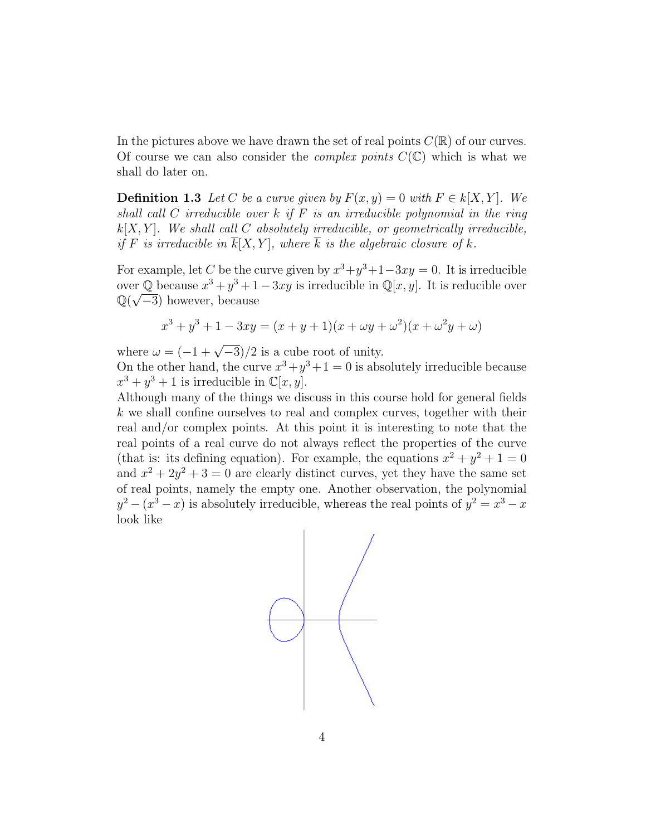In the pictures above we have drawn the set of real points  $C(\mathbb{R})$  of our curves. Of course we can also consider the *complex points*  $C(\mathbb{C})$  which is what we shall do later on.

**Definition 1.3** Let C be a curve given by  $F(x, y) = 0$  with  $F \in k[X, Y]$ . We shall call C irreducible over  $k$  if  $F$  is an irreducible polynomial in the ring  $k[X, Y]$ . We shall call C absolutely irreducible, or geometrically irreducible, if F is irreducible in  $\overline{k}[X, Y]$ , where  $\overline{k}$  is the algebraic closure of k.

For example, let C be the curve given by  $x^3 + y^3 + 1 - 3xy = 0$ . It is irreducible over  $\mathbb{Q}$  because  $x^3 + y^3 + 1 - 3xy$  is irreducible in  $\mathbb{Q}[x, y]$ . It is reducible over  $\mathbb{Q}(\sqrt{-3})$  however, because

$$
x^{3} + y^{3} + 1 - 3xy = (x + y + 1)(x + \omega y + \omega^{2})(x + \omega^{2} y + \omega)
$$

where  $\omega = (-1 + \sqrt{-3})/2$  is a cube root of unity.

On the other hand, the curve  $x^3 + y^3 + 1 = 0$  is absolutely irreducible because  $x^3 + y^3 + 1$  is irreducible in  $\mathbb{C}[x, y]$ .

Although many of the things we discuss in this course hold for general fields  $k$  we shall confine ourselves to real and complex curves, together with their real and/or complex points. At this point it is interesting to note that the real points of a real curve do not always reflect the properties of the curve (that is: its defining equation). For example, the equations  $x^2 + y^2 + 1 = 0$ and  $x^2 + 2y^2 + 3 = 0$  are clearly distinct curves, yet they have the same set of real points, namely the empty one. Another observation, the polynomial  $y^2 - (x^3 - x)$  is absolutely irreducible, whereas the real points of  $y^2 = x^3 - x$ look like

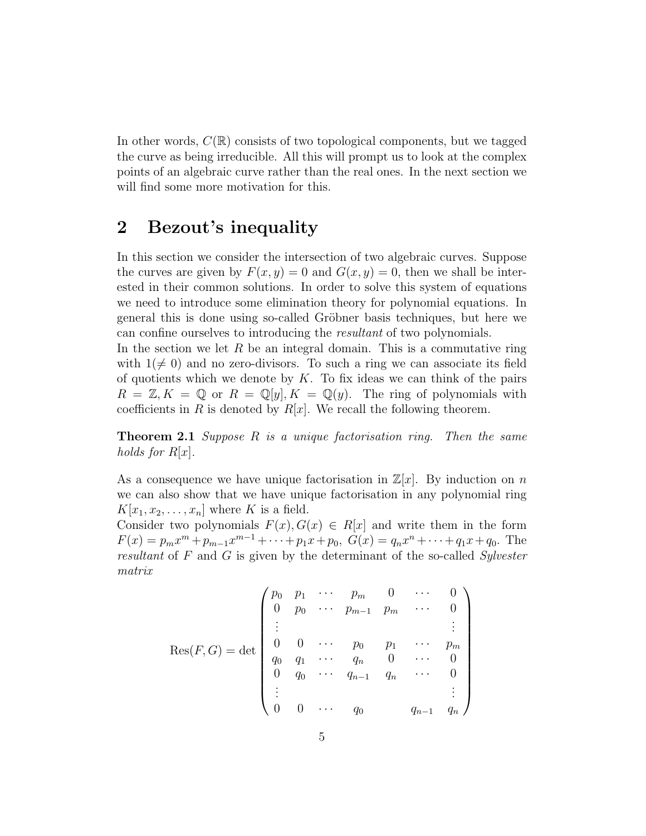In other words,  $C(\mathbb{R})$  consists of two topological components, but we tagged the curve as being irreducible. All this will prompt us to look at the complex points of an algebraic curve rather than the real ones. In the next section we will find some more motivation for this.

## 2 Bezout's inequality

In this section we consider the intersection of two algebraic curves. Suppose the curves are given by  $F(x, y) = 0$  and  $G(x, y) = 0$ , then we shall be interested in their common solutions. In order to solve this system of equations we need to introduce some elimination theory for polynomial equations. In general this is done using so-called Gröbner basis techniques, but here we can confine ourselves to introducing the resultant of two polynomials.

In the section we let  $R$  be an integral domain. This is a commutative ring with  $1(\neq 0)$  and no zero-divisors. To such a ring we can associate its field of quotients which we denote by  $K$ . To fix ideas we can think of the pairs  $R = \mathbb{Z}, K = \mathbb{Q}$  or  $R = \mathbb{Q}[y], K = \mathbb{Q}(y)$ . The ring of polynomials with coefficients in R is denoted by  $R[x]$ . We recall the following theorem.

**Theorem 2.1** Suppose R is a unique factorisation ring. Then the same holds for  $R[x]$ .

As a consequence we have unique factorisation in  $\mathbb{Z}[x]$ . By induction on n we can also show that we have unique factorisation in any polynomial ring  $K[x_1, x_2, \ldots, x_n]$  where K is a field.

Consider two polynomials  $F(x)$ ,  $G(x) \in R[x]$  and write them in the form  $F(x) = p_m x^m + p_{m-1} x^{m-1} + \cdots + p_1 x + p_0$ ,  $G(x) = q_n x^n + \cdots + q_1 x + q_0$ . The resultant of F and G is given by the determinant of the so-called Sylvester matrix

$$
Res(F, G) = det \begin{pmatrix} p_0 & p_1 & \cdots & p_m & 0 & \cdots & 0 \\ 0 & p_0 & \cdots & p_{m-1} & p_m & \cdots & 0 \\ \vdots & & & & & \vdots \\ 0 & 0 & \cdots & p_0 & p_1 & \cdots & p_m \\ q_0 & q_1 & \cdots & q_n & 0 & \cdots & 0 \\ 0 & q_0 & \cdots & q_{n-1} & q_n & \cdots & 0 \\ \vdots & & & & & \vdots \\ 0 & 0 & \cdots & q_0 & q_{n-1} & q_n \end{pmatrix}
$$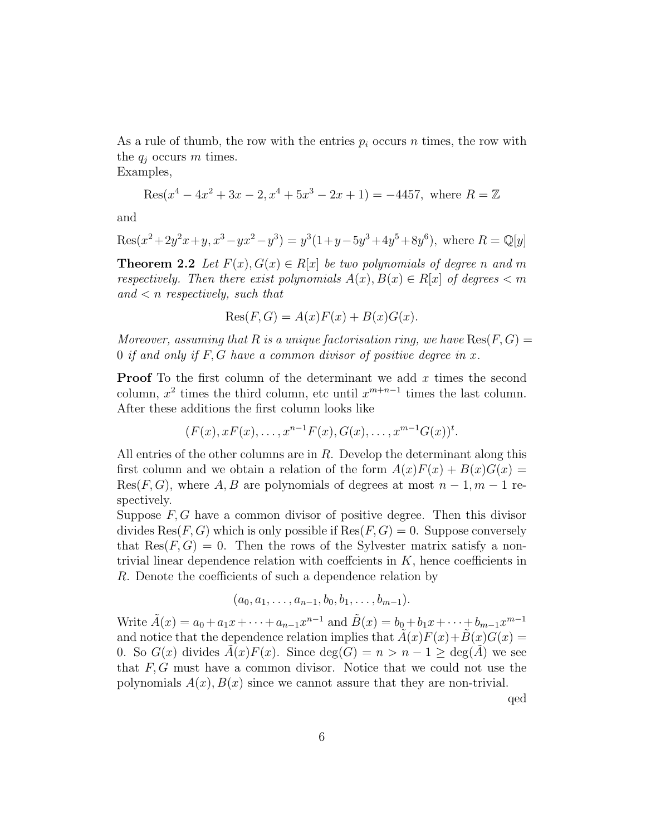As a rule of thumb, the row with the entries  $p_i$  occurs n times, the row with the  $q_i$  occurs m times.

Examples,

$$
Res(x^{4} - 4x^{2} + 3x - 2, x^{4} + 5x^{3} - 2x + 1) = -4457
$$
, where  $R = \mathbb{Z}$ 

and

Res
$$
(x^2+2y^2x+y, x^3-yx^2-y^3) = y^3(1+y-5y^3+4y^5+8y^6)
$$
, where  $R = \mathbb{Q}[y]$ 

**Theorem 2.2** Let  $F(x), G(x) \in R[x]$  be two polynomials of degree n and m respectively. Then there exist polynomials  $A(x), B(x) \in R[x]$  of degrees  $\lt m$ and  $\lt n$  respectively, such that

$$
Res(F, G) = A(x)F(x) + B(x)G(x).
$$

Moreover, assuming that R is a unique factorisation ring, we have  $\text{Res}(F, G) =$ 0 if and only if  $F, G$  have a common divisor of positive degree in x.

**Proof** To the first column of the determinant we add  $x$  times the second column,  $x^2$  times the third column, etc until  $x^{m+n-1}$  times the last column. After these additions the first column looks like

$$
(F(x),xF(x),\ldots,x^{n-1}F(x),G(x),\ldots,x^{m-1}G(x))t.
$$

All entries of the other columns are in  $R$ . Develop the determinant along this first column and we obtain a relation of the form  $A(x)F(x) + B(x)G(x) =$  $Res(F, G)$ , where A, B are polynomials of degrees at most  $n-1, m-1$  respectively.

Suppose  $F, G$  have a common divisor of positive degree. Then this divisor divides  $\text{Res}(F, G)$  which is only possible if  $\text{Res}(F, G) = 0$ . Suppose conversely that  $\text{Res}(F, G) = 0$ . Then the rows of the Sylvester matrix satisfy a nontrivial linear dependence relation with coeffcients in  $K$ , hence coefficients in R. Denote the coefficients of such a dependence relation by

 $(a_0, a_1, \ldots, a_{n-1}, b_0, b_1, \ldots, b_{m-1}).$ 

Write  $\tilde{A}(x) = a_0 + a_1 x + \dots + a_{n-1} x^{n-1}$  and  $\tilde{B}(x) = b_0 + b_1 x + \dots + b_{m-1} x^{m-1}$ and notice that the dependence relation implies that  $\tilde{A}(x)F(x)+\tilde{B}(x)G(x)$  = 0. So  $G(x)$  divides  $A(x)F(x)$ . Since  $deg(G) = n > n - 1 \ge deg(A)$  we see that  $F, G$  must have a common divisor. Notice that we could not use the polynomials  $A(x)$ ,  $B(x)$  since we cannot assure that they are non-trivial.

qed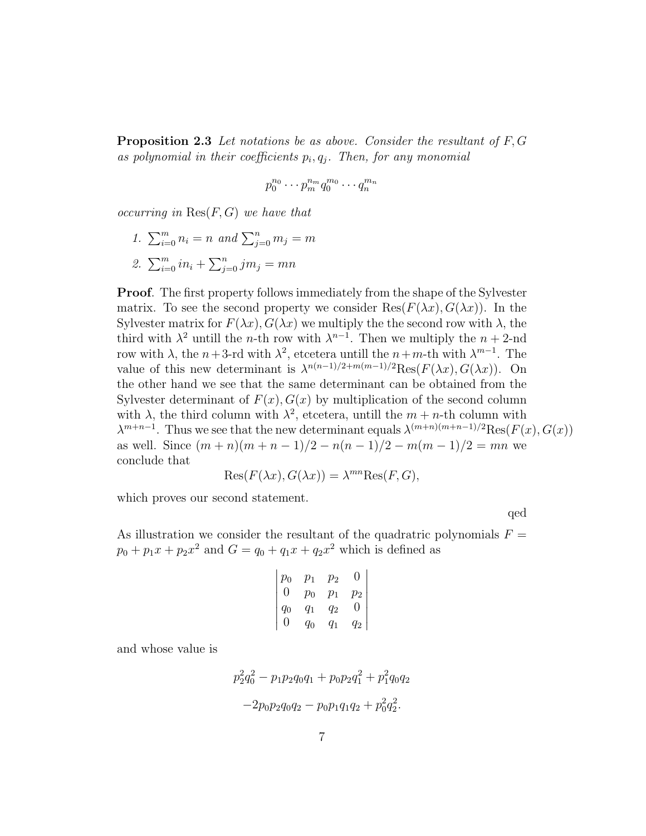**Proposition 2.3** Let notations be as above. Consider the resultant of  $F, G$ as polynomial in their coefficients  $p_i, q_j$ . Then, for any monomial

$$
p_0^{n_0}\cdots p_m^{n_m}q_0^{m_0}\cdots q_n^{m_n}
$$

occurring in  $\text{Res}(F, G)$  we have that

1.  $\sum_{i=0}^{m} n_i = n$  and  $\sum_{j=0}^{n} m_j = m$ 2.  $\sum_{i=0}^{m} in_i + \sum_{j=0}^{n} jm_j = mn$ 

Proof. The first property follows immediately from the shape of the Sylvester matrix. To see the second property we consider  $\text{Res}(F(\lambda x), G(\lambda x))$ . In the Sylvester matrix for  $F(\lambda x)$ ,  $G(\lambda x)$  we multiply the the second row with  $\lambda$ , the third with  $\lambda^2$  untill the *n*-th row with  $\lambda^{n-1}$ . Then we multiply the *n* + 2-nd row with  $\lambda$ , the  $n+3$ -rd with  $\lambda^2$ , etcetera untill the  $n+m$ -th with  $\lambda^{m-1}$ . The value of this new determinant is  $\lambda^{n(n-1)/2+m(m-1)/2}$ Res $(F(\lambda x), G(\lambda x))$ . On the other hand we see that the same determinant can be obtained from the Sylvester determinant of  $F(x)$ ,  $G(x)$  by multiplication of the second column with  $\lambda$ , the third column with  $\lambda^2$ , etcetera, untill the  $m + n$ -th column with  $\lambda^{m+n-1}$ . Thus we see that the new determinant equals  $\lambda^{(m+n)(m+n-1)/2}$ Res $(F(x), G(x))$ as well. Since  $(m+n)(m+n-1)/2 - n(n-1)/2 - m(m-1)/2 = mn$  we conclude that

$$
Res(F(\lambda x), G(\lambda x)) = \lambda^{mn} Res(F, G),
$$

which proves our second statement.

qed

As illustration we consider the resultant of the quadratric polynomials  $F =$  $p_0 + p_1 x + p_2 x^2$  and  $G = q_0 + q_1 x + q_2 x^2$  which is defined as

$$
\begin{vmatrix} p_0 & p_1 & p_2 & 0 \ 0 & p_0 & p_1 & p_2 \ q_0 & q_1 & q_2 & 0 \ 0 & q_0 & q_1 & q_2 \ \end{vmatrix}
$$

and whose value is

$$
p_2^2 q_0^2 - p_1 p_2 q_0 q_1 + p_0 p_2 q_1^2 + p_1^2 q_0 q_2
$$
  
-2p\_0 p\_2 q\_0 q\_2 - p\_0 p\_1 q\_1 q\_2 + p\_0^2 q\_2^2.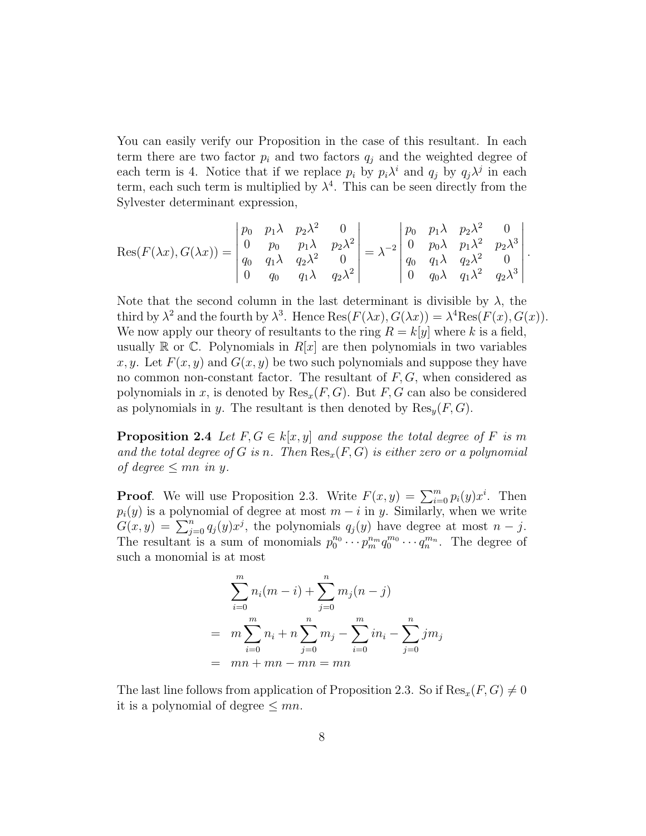You can easily verify our Proposition in the case of this resultant. In each term there are two factor  $p_i$  and two factors  $q_i$  and the weighted degree of each term is 4. Notice that if we replace  $p_i$  by  $p_i \lambda^i$  and  $q_j$  by  $q_j \lambda^j$  in each term, each such term is multiplied by  $\lambda^4$ . This can be seen directly from the Sylvester determinant expression,

$$
Res(F(\lambda x), G(\lambda x)) = \begin{vmatrix} p_0 & p_1 \lambda & p_2 \lambda^2 & 0 \\ 0 & p_0 & p_1 \lambda & p_2 \lambda^2 \\ q_0 & q_1 \lambda & q_2 \lambda^2 & 0 \\ 0 & q_0 & q_1 \lambda & q_2 \lambda^2 \end{vmatrix} = \lambda^{-2} \begin{vmatrix} p_0 & p_1 \lambda & p_2 \lambda^2 & 0 \\ 0 & p_0 \lambda & p_1 \lambda^2 & p_2 \lambda^3 \\ q_0 & q_1 \lambda & q_2 \lambda^2 & 0 \\ 0 & q_0 \lambda & q_1 \lambda^2 & q_2 \lambda^3 \end{vmatrix}.
$$

Note that the second column in the last determinant is divisible by  $\lambda$ , the third by  $\lambda^2$  and the fourth by  $\lambda^3$ . Hence Res $(F(\lambda x), G(\lambda x)) = \lambda^4 \text{Res}(F(x), G(x))$ . We now apply our theory of resultants to the ring  $R = k[y]$  where k is a field, usually  $\mathbb R$  or  $\mathbb C$ . Polynomials in  $R[x]$  are then polynomials in two variables x, y. Let  $F(x, y)$  and  $G(x, y)$  be two such polynomials and suppose they have no common non-constant factor. The resultant of  $F, G$ , when considered as polynomials in x, is denoted by  $\text{Res}_x(F, G)$ . But F, G can also be considered as polynomials in y. The resultant is then denoted by  $\text{Res}_{u}(F, G)$ .

**Proposition 2.4** Let  $F, G \in k[x, y]$  and suppose the total degree of F is m and the total degree of G is n. Then  $\text{Res}_x(F, G)$  is either zero or a polynomial of degree  $\leq mn$  in y.

**Proof.** We will use Proposition 2.3. Write  $F(x, y) = \sum_{i=0}^{m} p_i(y) x^i$ . Then  $p_i(y)$  is a polynomial of degree at most  $m - i$  in y. Similarly, when we write  $G(x, y) = \sum_{j=0}^{n} q_j(y) x^j$ , the polynomials  $q_j(y)$  have degree at most  $n - j$ . The resultant is a sum of monomials  $p_0^{n_0} \cdots p_m^{n_m} q_0^{m_0} \cdots q_n^{m_n}$ . The degree of such a monomial is at most

$$
\sum_{i=0}^{m} n_i (m - i) + \sum_{j=0}^{n} m_j (n - j)
$$
  
= 
$$
m \sum_{i=0}^{m} n_i + n \sum_{j=0}^{n} m_j - \sum_{i=0}^{m} i n_i - \sum_{j=0}^{n} j m_j
$$
  
= 
$$
mn + mn - mn = mn
$$

The last line follows from application of Proposition 2.3. So if  $\text{Res}_x(F, G) \neq 0$ it is a polynomial of degree  $\leq mn$ .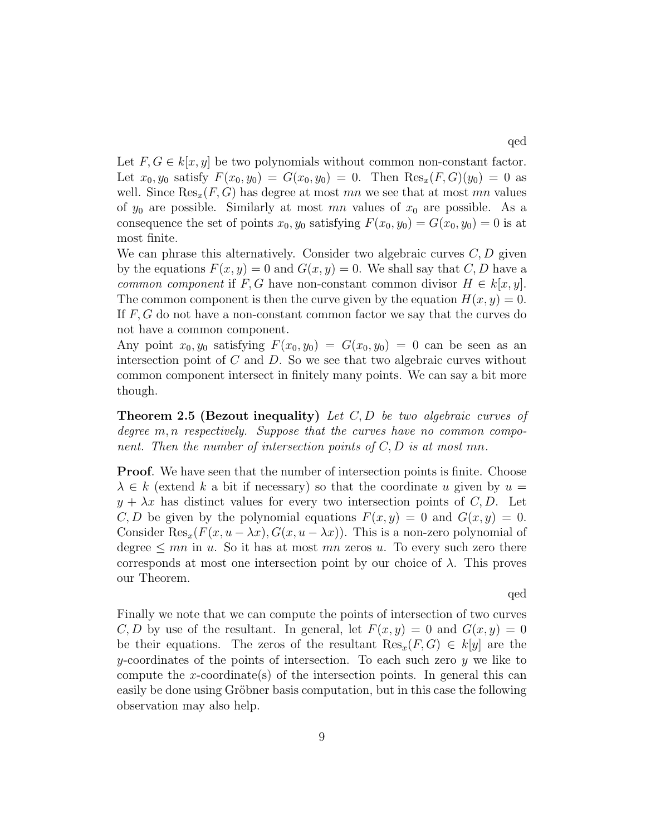Let  $F, G \in k[x, y]$  be two polynomials without common non-constant factor. Let  $x_0, y_0$  satisfy  $F(x_0, y_0) = G(x_0, y_0) = 0$ . Then  $\text{Res}_x(F, G)(y_0) = 0$  as well. Since  $\text{Res}_x(F, G)$  has degree at most mn we see that at most mn values of  $y_0$  are possible. Similarly at most mn values of  $x_0$  are possible. As a consequence the set of points  $x_0, y_0$  satisfying  $F(x_0, y_0) = G(x_0, y_0) = 0$  is at

We can phrase this alternatively. Consider two algebraic curves  $C, D$  given by the equations  $F(x, y) = 0$  and  $G(x, y) = 0$ . We shall say that C, D have a common component if F, G have non-constant common divisor  $H \in k[x, y]$ . The common component is then the curve given by the equation  $H(x, y) = 0$ . If  $F, G$  do not have a non-constant common factor we say that the curves do not have a common component.

most finite.

Any point  $x_0, y_0$  satisfying  $F(x_0, y_0) = G(x_0, y_0) = 0$  can be seen as an intersection point of  $C$  and  $D$ . So we see that two algebraic curves without common component intersect in finitely many points. We can say a bit more though.

**Theorem 2.5 (Bezout inequality)** Let  $C, D$  be two algebraic curves of degree  $m, n$  respectively. Suppose that the curves have no common component. Then the number of intersection points of  $C, D$  is at most mn.

**Proof.** We have seen that the number of intersection points is finite. Choose  $\lambda \in k$  (extend k a bit if necessary) so that the coordinate u given by  $u =$  $y + \lambda x$  has distinct values for every two intersection points of C, D. Let C, D be given by the polynomial equations  $F(x, y) = 0$  and  $G(x, y) = 0$ . Consider  $\text{Res}_x(F(x, u - \lambda x), G(x, u - \lambda x))$ . This is a non-zero polynomial of degree  $\leq mn$  in u. So it has at most mn zeros u. To every such zero there corresponds at most one intersection point by our choice of  $\lambda$ . This proves our Theorem.

qed

Finally we note that we can compute the points of intersection of two curves C, D by use of the resultant. In general, let  $F(x, y) = 0$  and  $G(x, y) = 0$ be their equations. The zeros of the resultant  $\text{Res}_x(F, G) \in k[y]$  are the  $y$ -coordinates of the points of intersection. To each such zero  $y$  we like to compute the x-coordinate(s) of the intersection points. In general this can easily be done using Gröbner basis computation, but in this case the following observation may also help.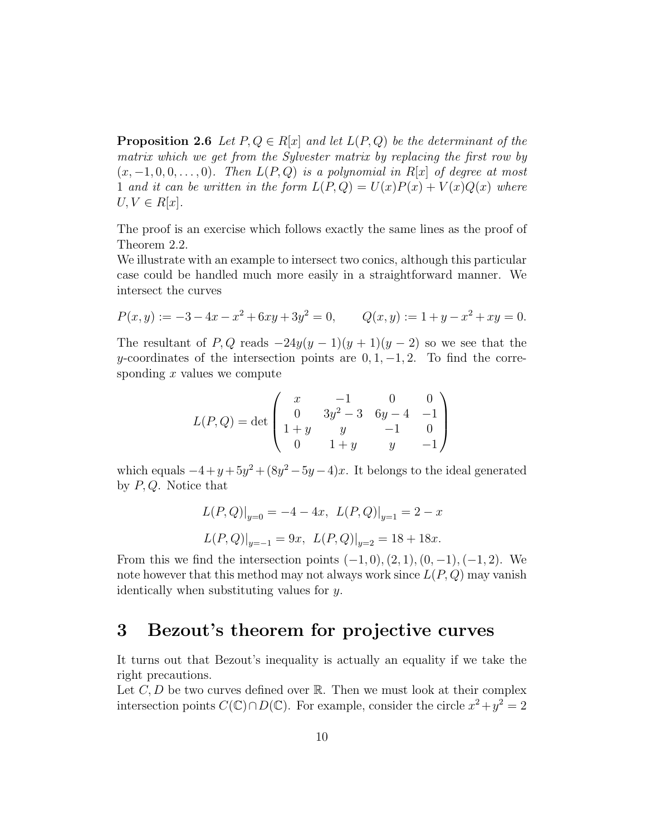**Proposition 2.6** Let  $P, Q \in R[x]$  and let  $L(P, Q)$  be the determinant of the matrix which we get from the Sylvester matrix by replacing the first row by  $(x, -1, 0, 0, \ldots, 0)$ . Then  $L(P, Q)$  is a polynomial in R[x] of degree at most 1 and it can be written in the form  $L(P,Q) = U(x)P(x) + V(x)Q(x)$  where  $U, V \in R[x]$ .

The proof is an exercise which follows exactly the same lines as the proof of Theorem 2.2.

We illustrate with an example to intersect two conics, although this particular case could be handled much more easily in a straightforward manner. We intersect the curves

$$
P(x, y) := -3 - 4x - x^2 + 6xy + 3y^2 = 0, \qquad Q(x, y) := 1 + y - x^2 + xy = 0.
$$

The resultant of P, Q reads  $-24y(y-1)(y+1)(y-2)$  so we see that the y-coordinates of the intersection points are  $0, 1, -1, 2$ . To find the corresponding  $x$  values we compute

$$
L(P,Q) = \det \begin{pmatrix} x & -1 & 0 & 0 \\ 0 & 3y^2 - 3 & 6y - 4 & -1 \\ 1 + y & y & -1 & 0 \\ 0 & 1 + y & y & -1 \end{pmatrix}
$$

which equals  $-4 + y + 5y^2 + (8y^2 - 5y - 4)x$ . It belongs to the ideal generated by  $P, Q$ . Notice that

$$
L(P,Q)|_{y=0} = -4 - 4x, \ L(P,Q)|_{y=1} = 2 - x
$$
  

$$
L(P,Q)|_{y=-1} = 9x, \ L(P,Q)|_{y=2} = 18 + 18x.
$$

From this we find the intersection points  $(-1, 0), (2, 1), (0, -1), (-1, 2)$ . We note however that this method may not always work since  $L(P,Q)$  may vanish identically when substituting values for y.

# 3 Bezout's theorem for projective curves

It turns out that Bezout's inequality is actually an equality if we take the right precautions.

Let  $C, D$  be two curves defined over  $\mathbb{R}$ . Then we must look at their complex intersection points  $C(\mathbb{C}) \cap D(\mathbb{C})$ . For example, consider the circle  $x^2 + y^2 = 2$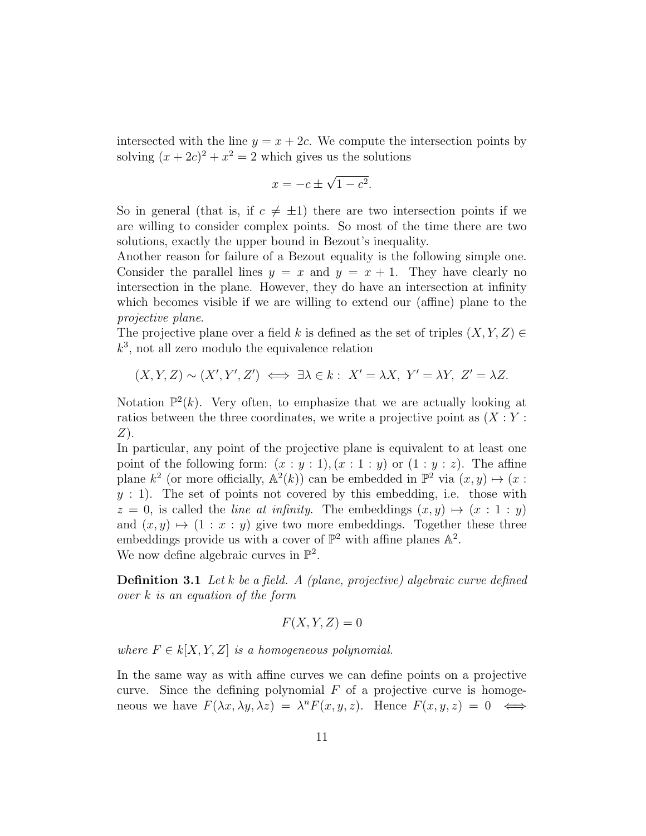intersected with the line  $y = x + 2c$ . We compute the intersection points by solving  $(x+2c)^2 + x^2 = 2$  which gives us the solutions

$$
x = -c \pm \sqrt{1 - c^2}.
$$

So in general (that is, if  $c \neq \pm 1$ ) there are two intersection points if we are willing to consider complex points. So most of the time there are two solutions, exactly the upper bound in Bezout's inequality.

Another reason for failure of a Bezout equality is the following simple one. Consider the parallel lines  $y = x$  and  $y = x + 1$ . They have clearly no intersection in the plane. However, they do have an intersection at infinity which becomes visible if we are willing to extend our (affine) plane to the projective plane.

The projective plane over a field k is defined as the set of triples  $(X, Y, Z) \in$  $k^3$ , not all zero modulo the equivalence relation

 $(X, Y, Z) \sim (X', Y', Z') \iff \exists \lambda \in k : X' = \lambda X, Y' = \lambda Y, Z' = \lambda Z.$ 

Notation  $\mathbb{P}^2(k)$ . Very often, to emphasize that we are actually looking at ratios between the three coordinates, we write a projective point as  $(X:Y:Y)$  $Z$ ).

In particular, any point of the projective plane is equivalent to at least one point of the following form:  $(x : y : 1), (x : 1 : y)$  or  $(1 : y : z)$ . The affine plane  $k^2$  (or more officially,  $\mathbb{A}^2(k)$ ) can be embedded in  $\mathbb{P}^2$  via  $(x, y) \mapsto (x :$  $y : 1$ ). The set of points not covered by this embedding, i.e. those with  $z = 0$ , is called the *line at infinity*. The embeddings  $(x, y) \mapsto (x : 1 : y)$ and  $(x, y) \mapsto (1 : x : y)$  give two more embeddings. Together these three embeddings provide us with a cover of  $\mathbb{P}^2$  with affine planes  $\mathbb{A}^2$ . We now define algebraic curves in  $\mathbb{P}^2$ .

**Definition 3.1** Let k be a field. A (plane, projective) algebraic curve defined over k is an equation of the form

$$
F(X, Y, Z) = 0
$$

where  $F \in k[X, Y, Z]$  is a homogeneous polynomial.

In the same way as with affine curves we can define points on a projective curve. Since the defining polynomial  $F$  of a projective curve is homogeneous we have  $F(\lambda x, \lambda y, \lambda z) = \lambda^n F(x, y, z)$ . Hence  $F(x, y, z) = 0 \iff$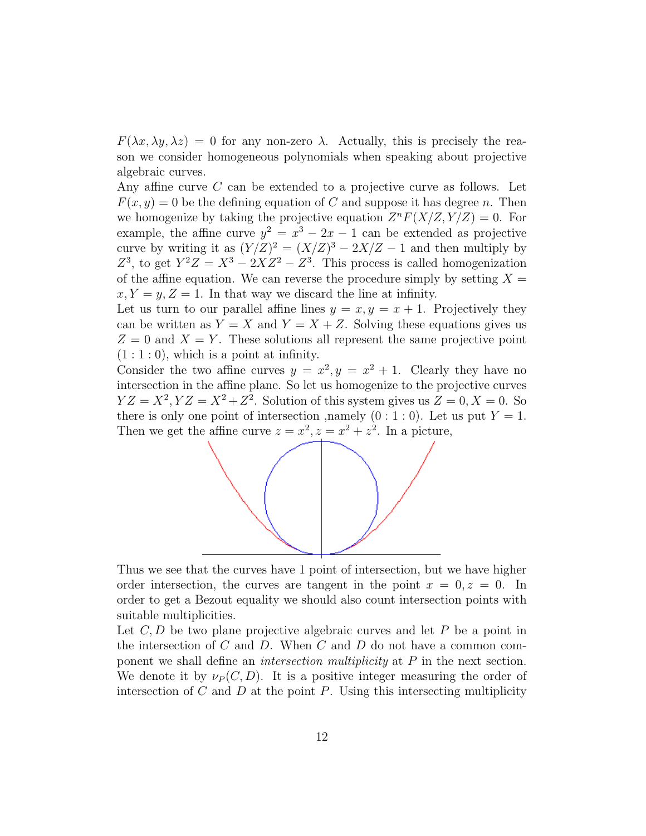$F(\lambda x, \lambda y, \lambda z) = 0$  for any non-zero  $\lambda$ . Actually, this is precisely the reason we consider homogeneous polynomials when speaking about projective algebraic curves.

Any affine curve C can be extended to a projective curve as follows. Let  $F(x, y) = 0$  be the defining equation of C and suppose it has degree n. Then we homogenize by taking the projective equation  $Z^n F(X/Z, Y/Z) = 0$ . For example, the affine curve  $y^2 = x^3 - 2x - 1$  can be extended as projective curve by writing it as  $(Y/Z)^2 = (X/Z)^3 - 2X/Z - 1$  and then multiply by  $Z^3$ , to get  $Y^2Z = X^3 - 2XZ^2 - Z^3$ . This process is called homogenization of the affine equation. We can reverse the procedure simply by setting  $X =$  $x, Y = y, Z = 1$ . In that way we discard the line at infinity.

Let us turn to our parallel affine lines  $y = x, y = x + 1$ . Projectively they can be written as  $Y = X$  and  $Y = X + Z$ . Solving these equations gives us  $Z = 0$  and  $X = Y$ . These solutions all represent the same projective point  $(1:1:0)$ , which is a point at infinity.

Consider the two affine curves  $y = x^2, y = x^2 + 1$ . Clearly they have no intersection in the affine plane. So let us homogenize to the projective curves  $YZ = X^2, YZ = X^2 + Z^2$ . Solution of this system gives us  $Z = 0, X = 0$ . So there is only one point of intersection , namely  $(0:1:0)$ . Let us put  $Y=1$ . Then we get the affine curve  $z = x^2, z = x^2 + z^2$ . In a picture,



Thus we see that the curves have 1 point of intersection, but we have higher order intersection, the curves are tangent in the point  $x = 0, z = 0$ . In order to get a Bezout equality we should also count intersection points with suitable multiplicities.

Let  $C, D$  be two plane projective algebraic curves and let P be a point in the intersection of  $C$  and  $D$ . When  $C$  and  $D$  do not have a common component we shall define an intersection multiplicity at P in the next section. We denote it by  $\nu_P(C, D)$ . It is a positive integer measuring the order of intersection of C and D at the point P. Using this intersecting multiplicity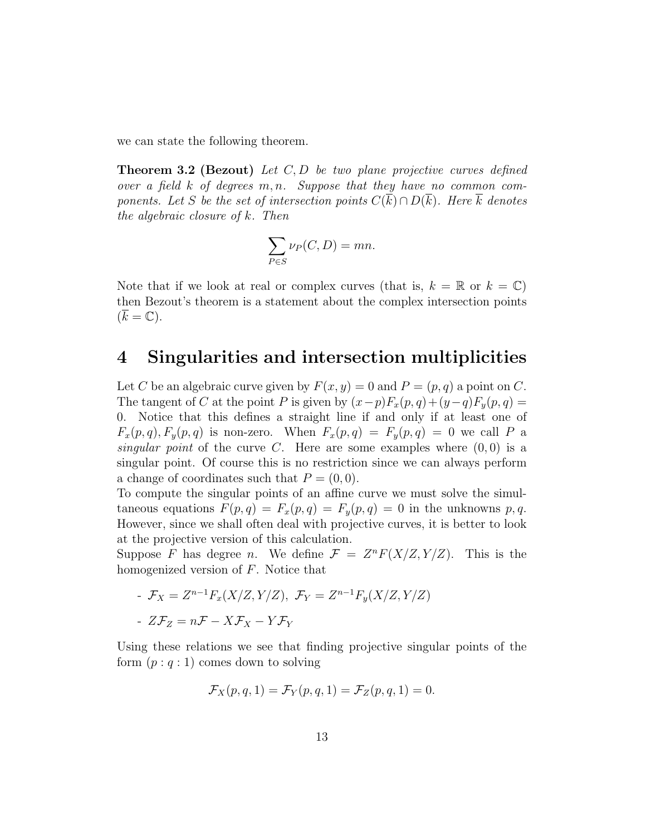we can state the following theorem.

**Theorem 3.2 (Bezout)** Let  $C, D$  be two plane projective curves defined over a field  $k$  of degrees  $m, n$ . Suppose that they have no common components. Let S be the set of intersection points  $C(\overline{k}) \cap D(\overline{k})$ . Here  $\overline{k}$  denotes the algebraic closure of k. Then

$$
\sum_{P \in S} \nu_P(C, D) = mn.
$$

Note that if we look at real or complex curves (that is,  $k = \mathbb{R}$  or  $k = \mathbb{C}$ ) then Bezout's theorem is a statement about the complex intersection points  $(\overline{k} = \mathbb{C}).$ 

## 4 Singularities and intersection multiplicities

Let C be an algebraic curve given by  $F(x, y) = 0$  and  $P = (p, q)$  a point on C. The tangent of C at the point P is given by  $(x-p)F_x(p,q)+(y-q)F_y(p,q)$ 0. Notice that this defines a straight line if and only if at least one of  $F_x(p,q), F_y(p,q)$  is non-zero. When  $F_x(p,q) = F_y(p,q) = 0$  we call P a singular point of the curve C. Here are some examples where  $(0, 0)$  is a singular point. Of course this is no restriction since we can always perform a change of coordinates such that  $P = (0, 0)$ .

To compute the singular points of an affine curve we must solve the simultaneous equations  $F(p,q) = F_x(p,q) = F_y(p,q) = 0$  in the unknowns p,q. However, since we shall often deal with projective curves, it is better to look at the projective version of this calculation.

Suppose F has degree n. We define  $\mathcal{F} = Z^n F(X/Z, Y/Z)$ . This is the homogenized version of F. Notice that

- 
$$
\mathcal{F}_X = Z^{n-1} F_x(X/Z, Y/Z), \ \mathcal{F}_Y = Z^{n-1} F_y(X/Z, Y/Z)
$$
  
-  $Z\mathcal{F}_Z = n\mathcal{F} - X\mathcal{F}_X - Y\mathcal{F}_Y$ 

Using these relations we see that finding projective singular points of the form  $(p: q: 1)$  comes down to solving

$$
\mathcal{F}_X(p,q,1) = \mathcal{F}_Y(p,q,1) = \mathcal{F}_Z(p,q,1) = 0.
$$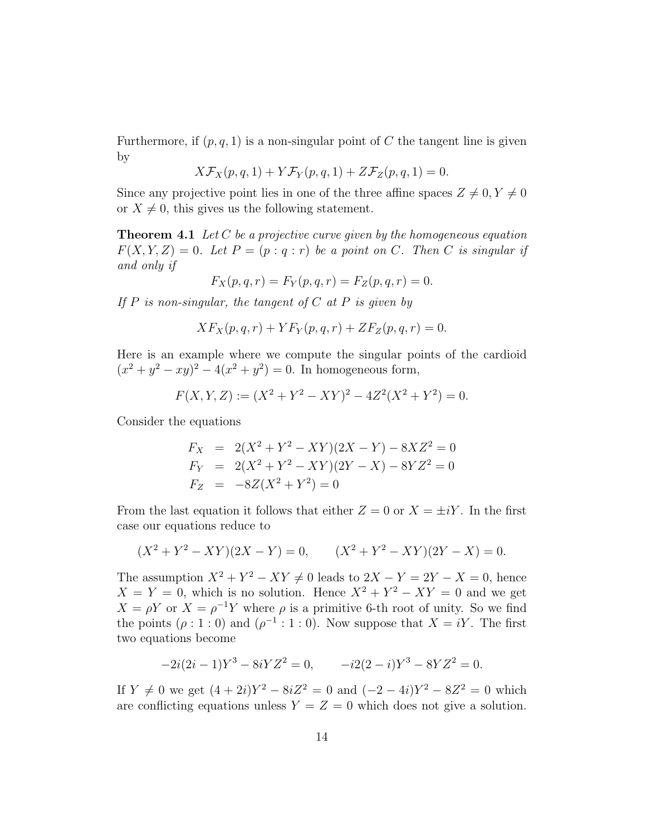Furthermore, if  $(p, q, 1)$  is a non-singular point of C the tangent line is given by

$$
X\mathcal{F}_X(p,q,1) + Y\mathcal{F}_Y(p,q,1) + Z\mathcal{F}_Z(p,q,1) = 0.
$$

Since any projective point lies in one of the three affine spaces  $Z \neq 0, Y \neq 0$ or  $X \neq 0$ , this gives us the following statement.

**Theorem 4.1** Let C be a projective curve given by the homogeneous equation  $F(X, Y, Z) = 0$ . Let  $P = (p : q : r)$  be a point on C. Then C is singular if and only if

$$
F_X(p, q, r) = F_Y(p, q, r) = F_Z(p, q, r) = 0.
$$

If  $P$  is non-singular, the tangent of  $C$  at  $P$  is given by

$$
XF_X(p,q,r) + YF_Y(p,q,r) + ZF_Z(p,q,r) = 0.
$$

Here is an example where we compute the singular points of the cardioid  $(x^{2} + y^{2} - xy)^{2} - 4(x^{2} + y^{2}) = 0$ . In homogeneous form,

$$
F(X, Y, Z) := (X^2 + Y^2 - XY)^2 - 4Z^2(X^2 + Y^2) = 0.
$$

Consider the equations

$$
F_X = 2(X^2 + Y^2 - XY)(2X - Y) - 8XZ^2 = 0
$$
  
\n
$$
F_Y = 2(X^2 + Y^2 - XY)(2Y - X) - 8YZ^2 = 0
$$
  
\n
$$
F_Z = -8Z(X^2 + Y^2) = 0
$$

From the last equation it follows that either  $Z = 0$  or  $X = \pm iY$ . In the first case our equations reduce to

$$
(X2 + Y2 - XY)(2X - Y) = 0, \qquad (X2 + Y2 - XY)(2Y - X) = 0.
$$

The assumption  $X^2 + Y^2 - XY \neq 0$  leads to  $2X - Y = 2Y - X = 0$ , hence  $X = Y = 0$ , which is no solution. Hence  $X^2 + Y^2 - XY = 0$  and we get  $X = \rho Y$  or  $X = \rho^{-1} Y$  where  $\rho$  is a primitive 6-th root of unity. So we find the points  $(\rho: 1: 0)$  and  $(\rho^{-1}: 1: 0)$ . Now suppose that  $X = iY$ . The first two equations become

$$
-2i(2i-1)Y^3 - 8iYZ^2 = 0, \qquad -i2(2-i)Y^3 - 8YZ^2 = 0.
$$

If  $Y \neq 0$  we get  $(4 + 2i)Y^2 - 8iZ^2 = 0$  and  $(-2 - 4i)Y^2 - 8Z^2 = 0$  which are conflicting equations unless  $Y = Z = 0$  which does not give a solution.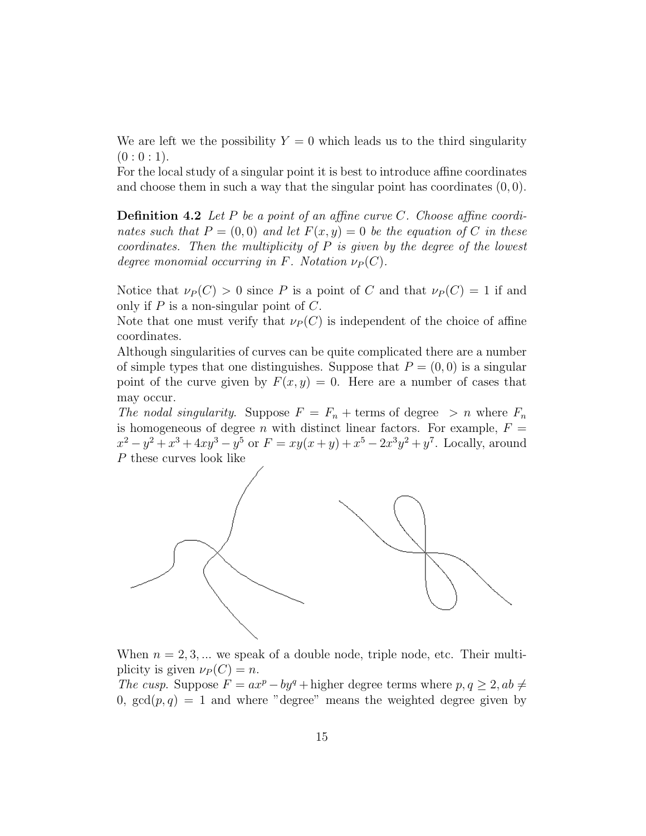We are left we the possibility  $Y = 0$  which leads us to the third singularity  $(0:0:1).$ 

For the local study of a singular point it is best to introduce affine coordinates and choose them in such a way that the singular point has coordinates  $(0, 0)$ .

**Definition 4.2** Let P be a point of an affine curve C. Choose affine coordinates such that  $P = (0, 0)$  and let  $F(x, y) = 0$  be the equation of C in these coordinates. Then the multiplicity of  $P$  is given by the degree of the lowest degree monomial occurring in F. Notation  $\nu_P(C)$ .

Notice that  $\nu_P(C) > 0$  since P is a point of C and that  $\nu_P(C) = 1$  if and only if  $P$  is a non-singular point of  $C$ .

Note that one must verify that  $\nu_P(C)$  is independent of the choice of affine coordinates.

Although singularities of curves can be quite complicated there are a number of simple types that one distinguishes. Suppose that  $P = (0, 0)$  is a singular point of the curve given by  $F(x, y) = 0$ . Here are a number of cases that may occur.

The nodal singularity. Suppose  $F = F_n + \text{terms of degree } > n$  where  $F_n$ is homogeneous of degree *n* with distinct linear factors. For example,  $F =$  $x^2 - y^2 + x^3 + 4xy^3 - y^5$  or  $F = xy(x + y) + x^5 - 2x^3y^2 + y^7$ . Locally, around P these curves look like



When  $n = 2, 3, \dots$  we speak of a double node, triple node, etc. Their multiplicity is given  $\nu_P(C) = n$ .

The cusp. Suppose  $F = ax^p - by^q + \text{higher degree terms where } p, q \geq 2, ab \neq 0$ 0,  $gcd(p, q) = 1$  and where "degree" means the weighted degree given by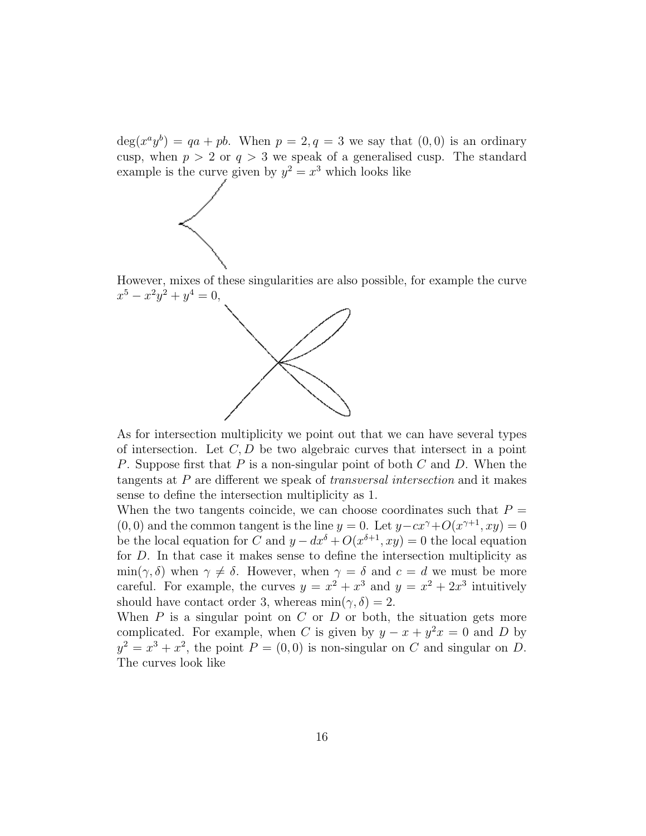$\deg(x^a y^b) = qa + pb$ . When  $p = 2, q = 3$  we say that  $(0, 0)$  is an ordinary cusp, when  $p > 2$  or  $q > 3$  we speak of a generalised cusp. The standard example is the curve given by  $y^2 = x^3$  which looks like



However, mixes of these singularities are also possible, for example the curve  $x^5 - x^2y^2 + y^4 = 0,$ 



As for intersection multiplicity we point out that we can have several types of intersection. Let  $C, D$  be two algebraic curves that intersect in a point P. Suppose first that P is a non-singular point of both C and D. When the tangents at P are different we speak of transversal intersection and it makes sense to define the intersection multiplicity as 1.

When the two tangents coincide, we can choose coordinates such that  $P =$  $(0,0)$  and the common tangent is the line  $y = 0$ . Let  $y - cx^{\gamma} + O(x^{\gamma+1}, xy) = 0$ be the local equation for C and  $y - dx^{\delta} + O(x^{\delta+1}, xy) = 0$  the local equation for D. In that case it makes sense to define the intersection multiplicity as  $\min(\gamma, \delta)$  when  $\gamma \neq \delta$ . However, when  $\gamma = \delta$  and  $c = d$  we must be more careful. For example, the curves  $y = x^2 + x^3$  and  $y = x^2 + 2x^3$  intuitively should have contact order 3, whereas  $\min(\gamma, \delta) = 2$ .

When  $P$  is a singular point on  $C$  or  $D$  or both, the situation gets more complicated. For example, when C is given by  $y - x + y^2x = 0$  and D by  $y^2 = x^3 + x^2$ , the point  $P = (0,0)$  is non-singular on C and singular on D. The curves look like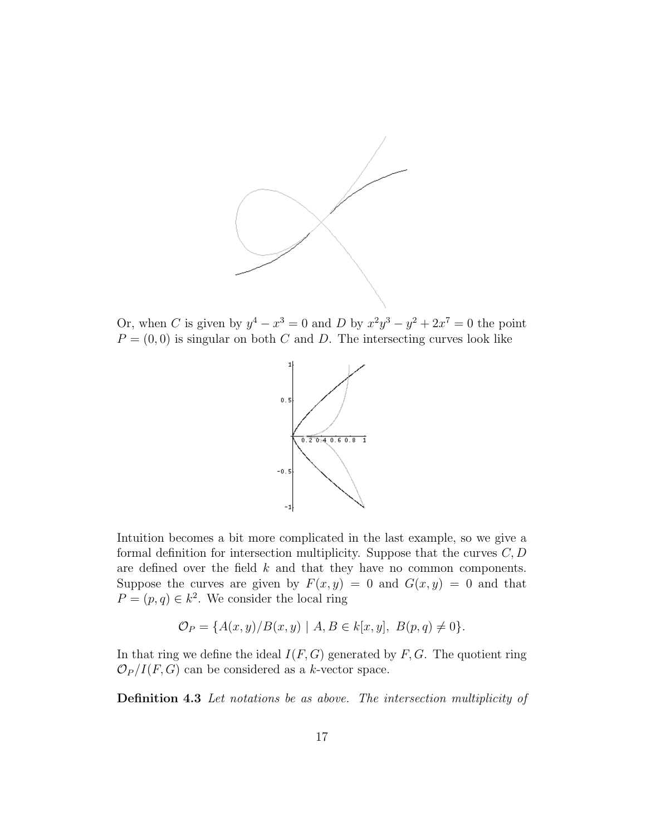

Or, when C is given by  $y^4 - x^3 = 0$  and D by  $x^2y^3 - y^2 + 2x^7 = 0$  the point  $P = (0, 0)$  is singular on both C and D. The intersecting curves look like



Intuition becomes a bit more complicated in the last example, so we give a formal definition for intersection multiplicity. Suppose that the curves  $C, D$ are defined over the field  $k$  and that they have no common components. Suppose the curves are given by  $F(x, y) = 0$  and  $G(x, y) = 0$  and that  $P=(p,q)\in k^2$ . We consider the local ring

$$
\mathcal{O}_P = \{ A(x, y) / B(x, y) \mid A, B \in k[x, y], B(p, q) \neq 0 \}.
$$

In that ring we define the ideal  $I(F, G)$  generated by  $F, G$ . The quotient ring  $\mathcal{O}_P/I(F,G)$  can be considered as a k-vector space.

Definition 4.3 Let notations be as above. The intersection multiplicity of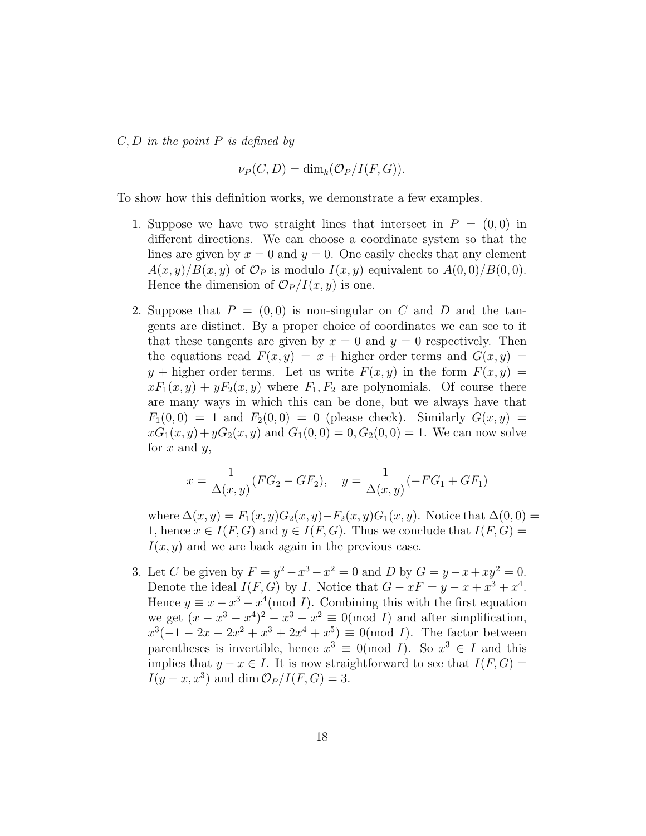$C, D$  in the point P is defined by

$$
\nu_P(C, D) = \dim_k(\mathcal{O}_P/I(F, G)).
$$

To show how this definition works, we demonstrate a few examples.

- 1. Suppose we have two straight lines that intersect in  $P = (0,0)$  in different directions. We can choose a coordinate system so that the lines are given by  $x = 0$  and  $y = 0$ . One easily checks that any element  $A(x,y)/B(x,y)$  of  $\mathcal{O}_P$  is modulo  $I(x,y)$  equivalent to  $A(0,0)/B(0,0)$ . Hence the dimension of  $\mathcal{O}_P/I(x, y)$  is one.
- 2. Suppose that  $P = (0,0)$  is non-singular on C and D and the tangents are distinct. By a proper choice of coordinates we can see to it that these tangents are given by  $x = 0$  and  $y = 0$  respectively. Then the equations read  $F(x, y) = x + \text{higher order terms and } G(x, y) =$  $y$  + higher order terms. Let us write  $F(x, y)$  in the form  $F(x, y) =$  $xF_1(x,y) + yF_2(x,y)$  where  $F_1, F_2$  are polynomials. Of course there are many ways in which this can be done, but we always have that  $F_1(0,0) = 1$  and  $F_2(0,0) = 0$  (please check). Similarly  $G(x, y) =$  $xG_1(x, y) + yG_2(x, y)$  and  $G_1(0, 0) = 0, G_2(0, 0) = 1$ . We can now solve for  $x$  and  $y$ ,

$$
x = \frac{1}{\Delta(x, y)} (FG_2 - GF_2), \quad y = \frac{1}{\Delta(x, y)} (-FG_1 + GF_1)
$$

where  $\Delta(x, y) = F_1(x, y)G_2(x, y) - F_2(x, y)G_1(x, y)$ . Notice that  $\Delta(0, 0) =$ 1, hence  $x \in I(F, G)$  and  $y \in I(F, G)$ . Thus we conclude that  $I(F, G)$  =  $I(x, y)$  and we are back again in the previous case.

3. Let C be given by  $F = y^2 - x^3 - x^2 = 0$  and D by  $G = y - x + xy^2 = 0$ . Denote the ideal  $I(F, G)$  by I. Notice that  $G - xF = y - x + x^3 + x^4$ . Hence  $y \equiv x - x^3 - x^4 \pmod{I}$ . Combining this with the first equation we get  $(x - x^3 - x^4)^2 - x^3 - x^2 \equiv 0 \pmod{I}$  and after simplification,  $x^3(-1-2x-2x^2+x^3+2x^4+x^5) \equiv 0 \pmod{I}$ . The factor between parentheses is invertible, hence  $x^3 \equiv 0 \pmod{I}$ . So  $x^3 \in I$  and this implies that  $y - x \in I$ . It is now straightforward to see that  $I(F, G) =$  $I(y-x, x^3)$  and dim  $\mathcal{O}_P/I(F, G) = 3$ .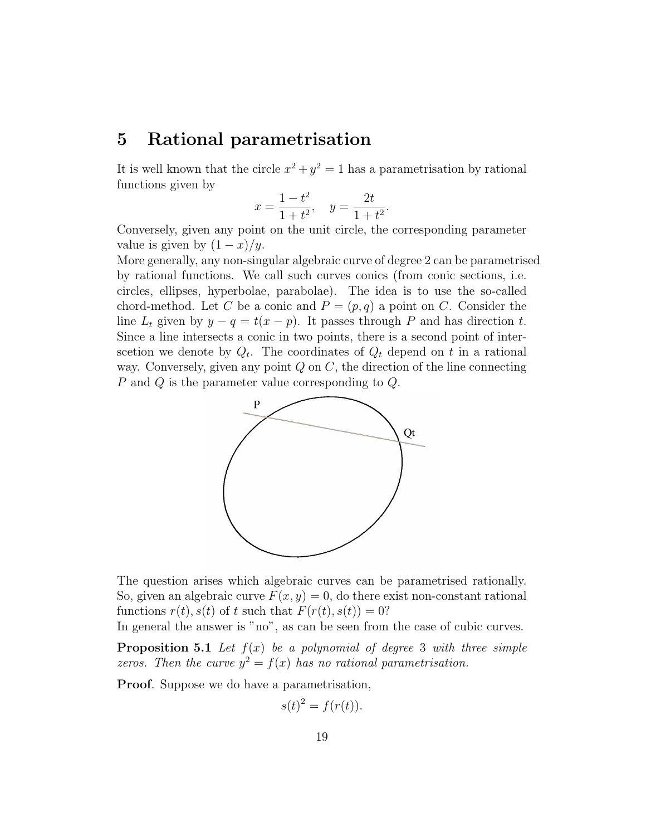#### 5 Rational parametrisation

It is well known that the circle  $x^2 + y^2 = 1$  has a parametrisation by rational functions given by

$$
x = \frac{1 - t^2}{1 + t^2}, \quad y = \frac{2t}{1 + t^2}.
$$

Conversely, given any point on the unit circle, the corresponding parameter value is given by  $(1-x)/y$ .

More generally, any non-singular algebraic curve of degree 2 can be parametrised by rational functions. We call such curves conics (from conic sections, i.e. circles, ellipses, hyperbolae, parabolae). The idea is to use the so-called chord-method. Let C be a conic and  $P = (p, q)$  a point on C. Consider the line  $L_t$  given by  $y - q = t(x - p)$ . It passes through P and has direction t. Since a line intersects a conic in two points, there is a second point of interscetion we denote by  $Q_t$ . The coordinates of  $Q_t$  depend on t in a rational way. Conversely, given any point  $Q$  on  $C$ , the direction of the line connecting P and Q is the parameter value corresponding to Q.



The question arises which algebraic curves can be parametrised rationally. So, given an algebraic curve  $F(x, y) = 0$ , do there exist non-constant rational functions  $r(t)$ ,  $s(t)$  of t such that  $F(r(t), s(t)) = 0$ ?

In general the answer is "no", as can be seen from the case of cubic curves.

**Proposition 5.1** Let  $f(x)$  be a polynomial of degree 3 with three simple zeros. Then the curve  $y^2 = f(x)$  has no rational parametrisation.

Proof. Suppose we do have a parametrisation,

$$
s(t)^2 = f(r(t)).
$$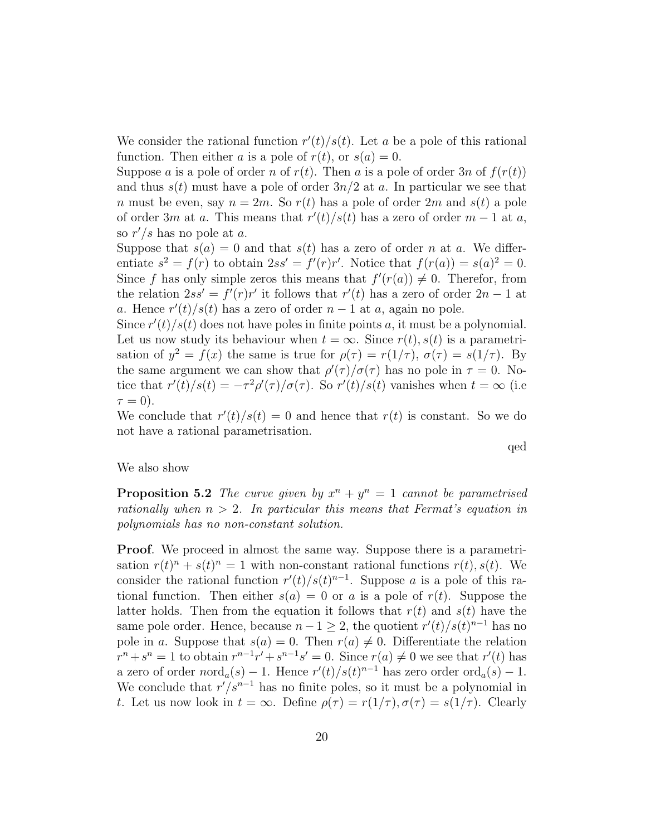We consider the rational function  $r'(t)/s(t)$ . Let a be a pole of this rational function. Then either a is a pole of  $r(t)$ , or  $s(a) = 0$ .

Suppose a is a pole of order n of  $r(t)$ . Then a is a pole of order 3n of  $f(r(t))$ and thus  $s(t)$  must have a pole of order  $3n/2$  at a. In particular we see that n must be even, say  $n = 2m$ . So  $r(t)$  has a pole of order 2m and  $s(t)$  a pole of order 3m at a. This means that  $r'(t)/s(t)$  has a zero of order  $m-1$  at a, so  $r'/s$  has no pole at a.

Suppose that  $s(a) = 0$  and that  $s(t)$  has a zero of order n at a. We differentiate  $s^2 = f(r)$  to obtain  $2ss' = f'(r)r'$ . Notice that  $f(r(a)) = s(a)^2 = 0$ . Since f has only simple zeros this means that  $f'(r(a)) \neq 0$ . Therefor, from the relation  $2ss' = f'(r)r'$  it follows that  $r'(t)$  has a zero of order  $2n - 1$  at a. Hence  $r'(t)/s(t)$  has a zero of order  $n-1$  at a, again no pole.

Since  $r'(t)/s(t)$  does not have poles in finite points a, it must be a polynomial. Let us now study its behaviour when  $t = \infty$ . Since  $r(t)$ ,  $s(t)$  is a parametrisation of  $y^2 = f(x)$  the same is true for  $\rho(\tau) = r(1/\tau)$ ,  $\sigma(\tau) = s(1/\tau)$ . By the same argument we can show that  $\rho'(\tau)/\sigma(\tau)$  has no pole in  $\tau = 0$ . Notice that  $r'(t)/s(t) = -\tau^2 \rho'(\tau)/\sigma(\tau)$ . So  $r'(t)/s(t)$  vanishes when  $t = \infty$  (i.e.  $\tau = 0$ ).

We conclude that  $r'(t)/s(t) = 0$  and hence that  $r(t)$  is constant. So we do not have a rational parametrisation.

We also show

**Proposition 5.2** The curve given by  $x^n + y^n = 1$  cannot be parametrised rationally when  $n > 2$ . In particular this means that Fermat's equation in polynomials has no non-constant solution.

Proof. We proceed in almost the same way. Suppose there is a parametrisation  $r(t)^n + s(t)^n = 1$  with non-constant rational functions  $r(t)$ ,  $s(t)$ . We consider the rational function  $r'(t)/s(t)^{n-1}$ . Suppose a is a pole of this rational function. Then either  $s(a) = 0$  or a is a pole of  $r(t)$ . Suppose the latter holds. Then from the equation it follows that  $r(t)$  and  $s(t)$  have the same pole order. Hence, because  $n-1 \geq 2$ , the quotient  $r'(t)/s(t)^{n-1}$  has no pole in a. Suppose that  $s(a) = 0$ . Then  $r(a) \neq 0$ . Differentiate the relation  $r^{n} + s^{n} = 1$  to obtain  $r^{n-1}r' + s^{n-1}s' = 0$ . Since  $r(a) \neq 0$  we see that  $r'(t)$  has a zero of order  $nord_a(s) - 1$ . Hence  $r'(t)/s(t)^{n-1}$  has zero order  $ord_a(s) - 1$ . We conclude that  $r'/s^{n-1}$  has no finite poles, so it must be a polynomial in t. Let us now look in  $t = \infty$ . Define  $\rho(\tau) = r(1/\tau), \sigma(\tau) = s(1/\tau)$ . Clearly

qed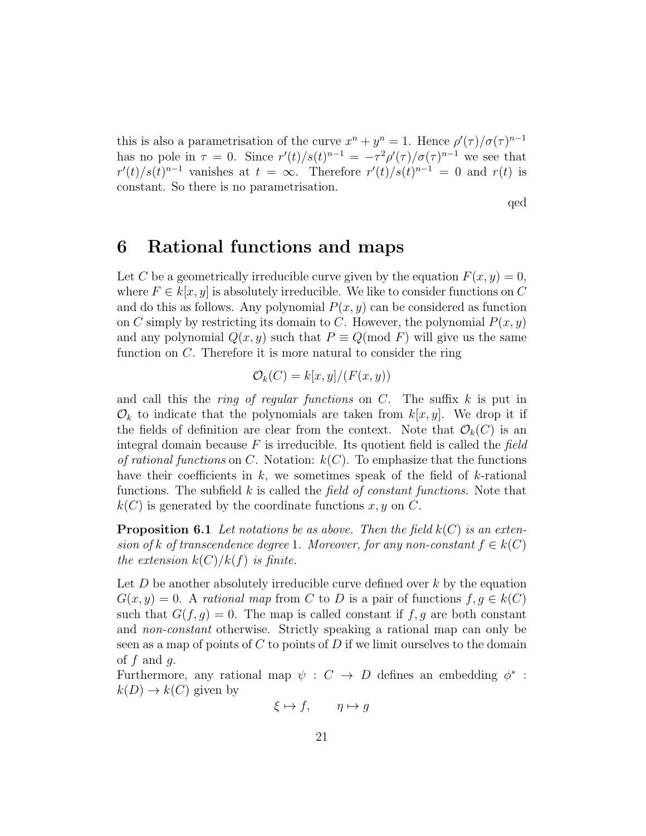this is also a parametrisation of the curve  $x^n + y^n = 1$ . Hence  $\rho'(\tau)/\sigma(\tau)^{n-1}$ has no pole in  $\tau = 0$ . Since  $r'(t)/s(t)^{n-1} = -\tau^2 \rho'(\tau)/\sigma(\tau)^{n-1}$  we see that  $r'(t)/s(t)^{n-1}$  vanishes at  $t = \infty$ . Therefore  $r'(t)/s(t)^{n-1} = 0$  and  $r(t)$  is constant. So there is no parametrisation.

qed

### 6 Rational functions and maps

Let C be a geometrically irreducible curve given by the equation  $F(x, y) = 0$ , where  $F \in k[x, y]$  is absolutely irreducible. We like to consider functions on C and do this as follows. Any polynomial  $P(x, y)$  can be considered as function on C simply by restricting its domain to C. However, the polynomial  $P(x, y)$ and any polynomial  $Q(x, y)$  such that  $P \equiv Q \pmod{F}$  will give us the same function on C. Therefore it is more natural to consider the ring

$$
\mathcal{O}_k(C) = k[x, y]/(F(x, y))
$$

and call this the *ring of regular functions* on  $C$ . The suffix  $k$  is put in  $\mathcal{O}_k$  to indicate that the polynomials are taken from  $k[x, y]$ . We drop it if the fields of definition are clear from the context. Note that  $\mathcal{O}_k(C)$  is an integral domain because  $F$  is irreducible. Its quotient field is called the field of rational functions on C. Notation:  $k(C)$ . To emphasize that the functions have their coefficients in  $k$ , we sometimes speak of the field of  $k$ -rational functions. The subfield  $k$  is called the *field of constant functions*. Note that  $k(C)$  is generated by the coordinate functions x, y on C.

**Proposition 6.1** Let notations be as above. Then the field  $k(C)$  is an extension of k of transcendence degree 1. Moreover, for any non-constant  $f \in k(C)$ the extension  $k(C)/k(f)$  is finite.

Let  $D$  be another absolutely irreducible curve defined over  $k$  by the equation  $G(x, y) = 0$ . A rational map from C to D is a pair of functions  $f, g \in k(C)$ such that  $G(f, g) = 0$ . The map is called constant if f, g are both constant and non-constant otherwise. Strictly speaking a rational map can only be seen as a map of points of  $C$  to points of  $D$  if we limit ourselves to the domain of  $f$  and  $q$ .

Furthermore, any rational map  $\psi : C \to D$  defines an embedding  $\phi^*$ :  $k(D) \to k(C)$  given by

$$
\xi \mapsto f, \qquad \eta \mapsto g
$$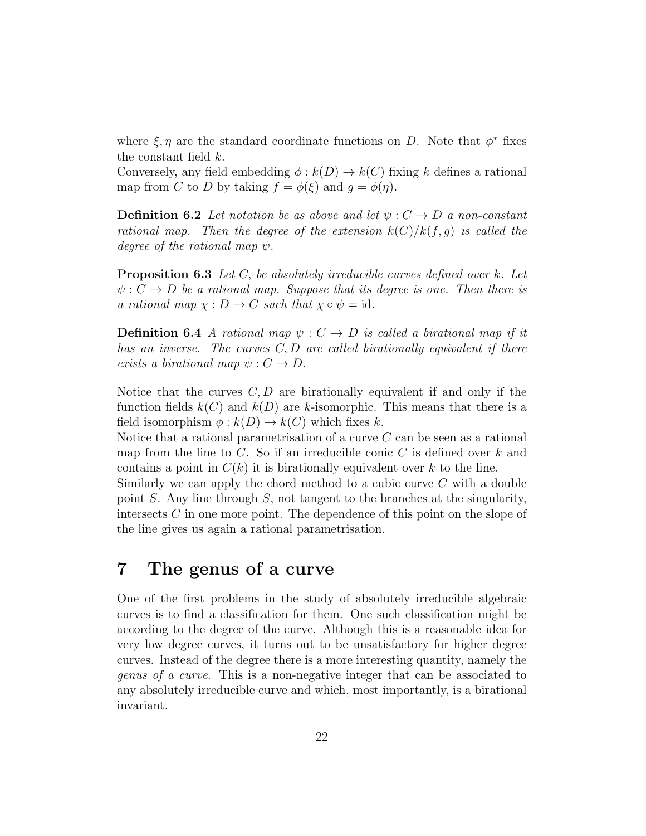where  $\xi, \eta$  are the standard coordinate functions on D. Note that  $\phi^*$  fixes the constant field k.

Conversely, any field embedding  $\phi : k(D) \to k(C)$  fixing k defines a rational map from C to D by taking  $f = \phi(\xi)$  and  $q = \phi(\eta)$ .

**Definition 6.2** Let notation be as above and let  $\psi: C \to D$  a non-constant rational map. Then the degree of the extension  $k(C)/k(f, q)$  is called the degree of the rational map  $\psi$ .

**Proposition 6.3** Let C, be absolutely irreducible curves defined over k. Let  $\psi: C \to D$  be a rational map. Suppose that its degree is one. Then there is a rational map  $\chi : D \to C$  such that  $\chi \circ \psi = id$ .

**Definition 6.4** A rational map  $\psi : C \to D$  is called a birational map if it has an inverse. The curves  $C, D$  are called birationally equivalent if there exists a birational map  $\psi: C \to D$ .

Notice that the curves  $C, D$  are birationally equivalent if and only if the function fields  $k(C)$  and  $k(D)$  are k-isomorphic. This means that there is a field isomorphism  $\phi : k(D) \to k(C)$  which fixes k.

Notice that a rational parametrisation of a curve C can be seen as a rational map from the line to  $C$ . So if an irreducible conic  $C$  is defined over k and contains a point in  $C(k)$  it is birationally equivalent over k to the line.

Similarly we can apply the chord method to a cubic curve  $C$  with a double point S. Any line through S, not tangent to the branches at the singularity, intersects C in one more point. The dependence of this point on the slope of the line gives us again a rational parametrisation.

### 7 The genus of a curve

One of the first problems in the study of absolutely irreducible algebraic curves is to find a classification for them. One such classification might be according to the degree of the curve. Although this is a reasonable idea for very low degree curves, it turns out to be unsatisfactory for higher degree curves. Instead of the degree there is a more interesting quantity, namely the genus of a curve. This is a non-negative integer that can be associated to any absolutely irreducible curve and which, most importantly, is a birational invariant.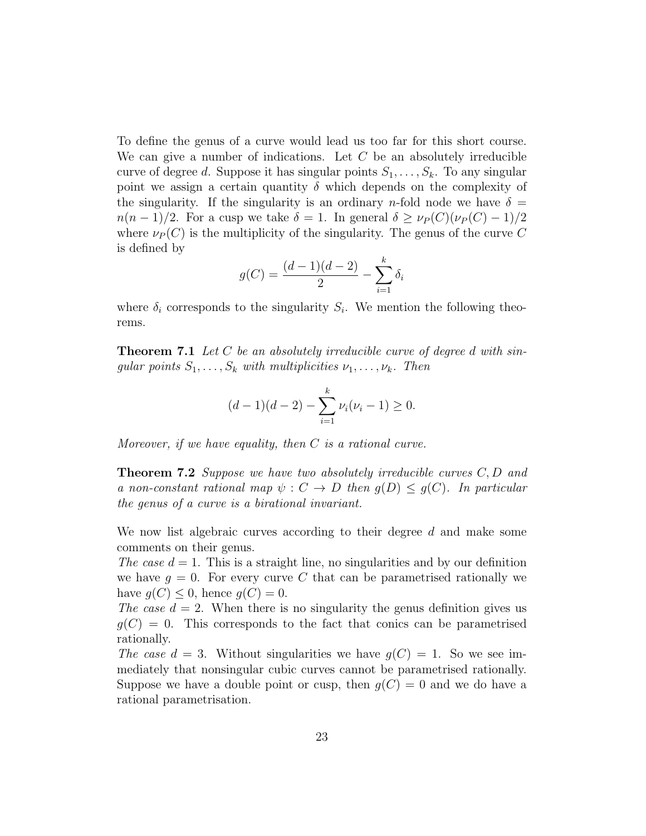To define the genus of a curve would lead us too far for this short course. We can give a number of indications. Let  $C$  be an absolutely irreducible curve of degree d. Suppose it has singular points  $S_1, \ldots, S_k$ . To any singular point we assign a certain quantity  $\delta$  which depends on the complexity of the singularity. If the singularity is an ordinary n-fold node we have  $\delta =$  $n(n-1)/2$ . For a cusp we take  $\delta = 1$ . In general  $\delta \geq \nu_P(C)(\nu_P(C)-1)/2$ where  $\nu_P(C)$  is the multiplicity of the singularity. The genus of the curve C is defined by

$$
g(C) = \frac{(d-1)(d-2)}{2} - \sum_{i=1}^{k} \delta_i
$$

where  $\delta_i$  corresponds to the singularity  $S_i$ . We mention the following theorems.

**Theorem 7.1** Let C be an absolutely irreducible curve of degree d with singular points  $S_1, \ldots, S_k$  with multiplicities  $\nu_1, \ldots, \nu_k$ . Then

$$
(d-1)(d-2) - \sum_{i=1}^{k} \nu_i (\nu_i - 1) \ge 0.
$$

Moreover, if we have equality, then  $C$  is a rational curve.

**Theorem 7.2** Suppose we have two absolutely irreducible curves  $C, D$  and a non-constant rational map  $\psi : C \to D$  then  $q(D) \leq q(C)$ . In particular the genus of a curve is a birational invariant.

We now list algebraic curves according to their degree  $d$  and make some comments on their genus.

The case  $d = 1$ . This is a straight line, no singularities and by our definition we have  $g = 0$ . For every curve C that can be parametrised rationally we have  $q(C) \leq 0$ , hence  $q(C) = 0$ .

The case  $d = 2$ . When there is no singularity the genus definition gives us  $g(C) = 0$ . This corresponds to the fact that conics can be parametrised rationally.

The case  $d = 3$ . Without singularities we have  $q(C) = 1$ . So we see immediately that nonsingular cubic curves cannot be parametrised rationally. Suppose we have a double point or cusp, then  $g(C) = 0$  and we do have a rational parametrisation.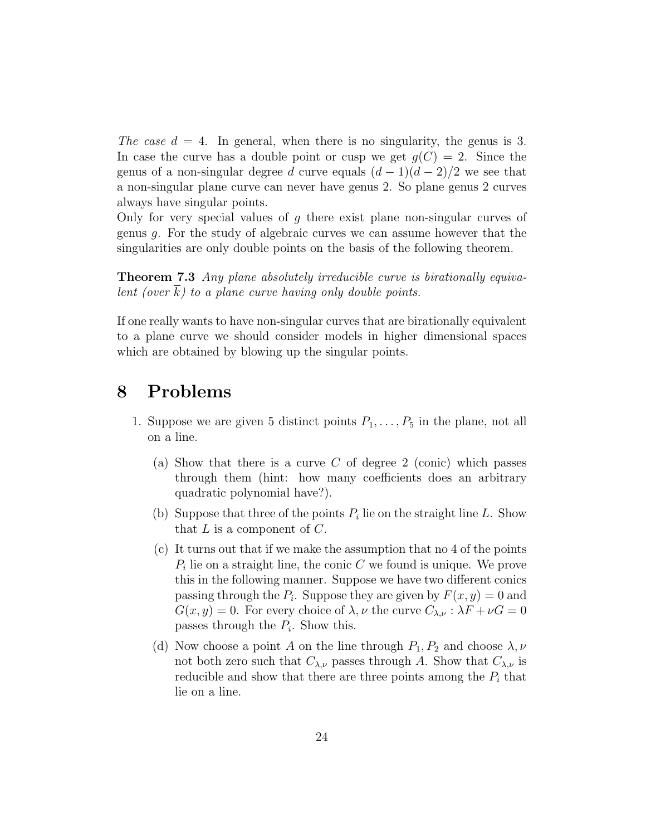The case  $d = 4$ . In general, when there is no singularity, the genus is 3. In case the curve has a double point or cusp we get  $g(C) = 2$ . Since the genus of a non-singular degree d curve equals  $(d-1)(d-2)/2$  we see that a non-singular plane curve can never have genus 2. So plane genus 2 curves always have singular points.

Only for very special values of g there exist plane non-singular curves of genus g. For the study of algebraic curves we can assume however that the singularities are only double points on the basis of the following theorem.

Theorem 7.3 Any plane absolutely irreducible curve is birationally equivalent (over  $k$ ) to a plane curve having only double points.

If one really wants to have non-singular curves that are birationally equivalent to a plane curve we should consider models in higher dimensional spaces which are obtained by blowing up the singular points.

# 8 Problems

- 1. Suppose we are given 5 distinct points  $P_1, \ldots, P_5$  in the plane, not all on a line.
	- (a) Show that there is a curve C of degree 2 (conic) which passes through them (hint: how many coefficients does an arbitrary quadratic polynomial have?).
	- (b) Suppose that three of the points  $P_i$  lie on the straight line L. Show that  $L$  is a component of  $C$ .
	- (c) It turns out that if we make the assumption that no 4 of the points  $P_i$  lie on a straight line, the conic  $C$  we found is unique. We prove this in the following manner. Suppose we have two different conics passing through the  $P_i$ . Suppose they are given by  $F(x, y) = 0$  and  $G(x, y) = 0$ . For every choice of  $\lambda, \nu$  the curve  $C_{\lambda, \nu}: \lambda F + \nu G = 0$ passes through the  $P_i$ . Show this.
	- (d) Now choose a point A on the line through  $P_1, P_2$  and choose  $\lambda, \nu$ not both zero such that  $C_{\lambda,\nu}$  passes through A. Show that  $C_{\lambda,\nu}$  is reducible and show that there are three points among the  $P_i$  that lie on a line.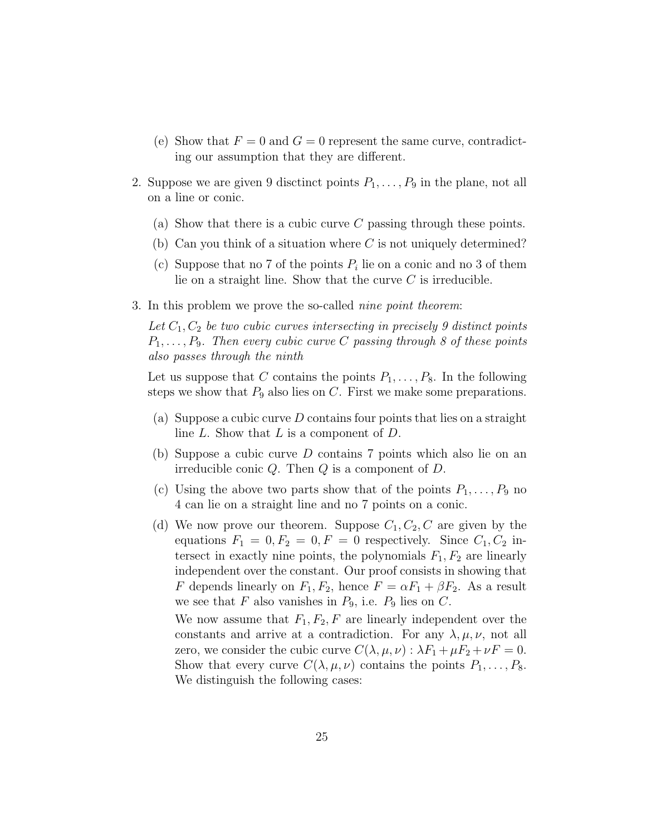- (e) Show that  $F = 0$  and  $G = 0$  represent the same curve, contradicting our assumption that they are different.
- 2. Suppose we are given 9 disctinct points  $P_1, \ldots, P_9$  in the plane, not all on a line or conic.
	- (a) Show that there is a cubic curve  $C$  passing through these points.
	- (b) Can you think of a situation where  $C$  is not uniquely determined?
	- (c) Suppose that no 7 of the points  $P_i$  lie on a conic and no 3 of them lie on a straight line. Show that the curve  $C$  is irreducible.
- 3. In this problem we prove the so-called nine point theorem:

Let  $C_1, C_2$  be two cubic curves intersecting in precisely 9 distinct points  $P_1, \ldots, P_9$ . Then every cubic curve C passing through 8 of these points also passes through the ninth

Let us suppose that C contains the points  $P_1, \ldots, P_8$ . In the following steps we show that  $P_9$  also lies on C. First we make some preparations.

- (a) Suppose a cubic curve  $D$  contains four points that lies on a straight line L. Show that L is a component of D.
- (b) Suppose a cubic curve D contains 7 points which also lie on an irreducible conic  $Q$ . Then  $Q$  is a component of  $D$ .
- (c) Using the above two parts show that of the points  $P_1, \ldots, P_9$  no 4 can lie on a straight line and no 7 points on a conic.
- (d) We now prove our theorem. Suppose  $C_1, C_2, C$  are given by the equations  $F_1 = 0, F_2 = 0, F = 0$  respectively. Since  $C_1, C_2$  intersect in exactly nine points, the polynomials  $F_1, F_2$  are linearly independent over the constant. Our proof consists in showing that F depends linearly on  $F_1, F_2$ , hence  $F = \alpha F_1 + \beta F_2$ . As a result we see that  $F$  also vanishes in  $P_9$ , i.e.  $P_9$  lies on  $C$ .

We now assume that  $F_1, F_2, F$  are linearly independent over the constants and arrive at a contradiction. For any  $\lambda, \mu, \nu$ , not all zero, we consider the cubic curve  $C(\lambda, \mu, \nu)$ :  $\lambda F_1 + \mu F_2 + \nu F = 0$ . Show that every curve  $C(\lambda, \mu, \nu)$  contains the points  $P_1, \ldots, P_8$ . We distinguish the following cases: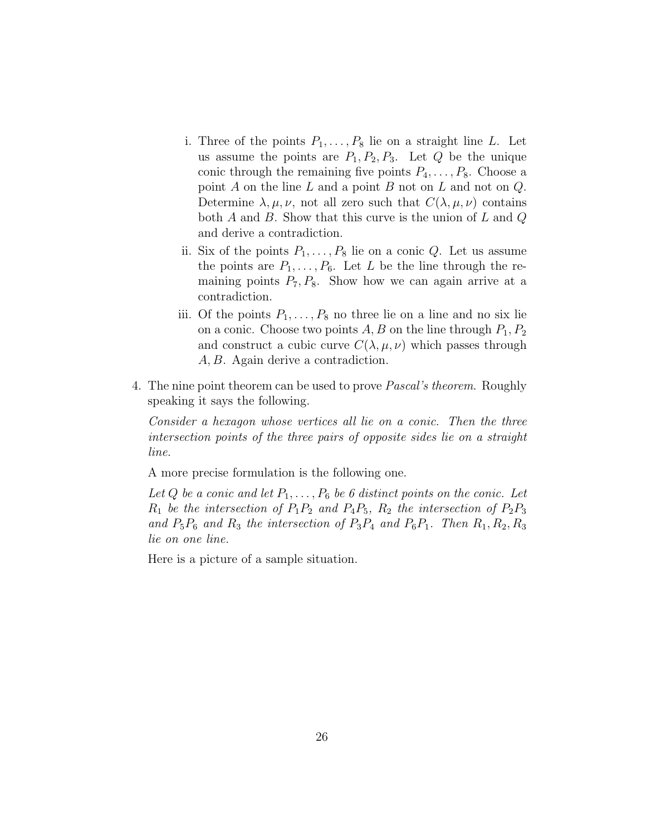- i. Three of the points  $P_1, \ldots, P_8$  lie on a straight line L. Let us assume the points are  $P_1, P_2, P_3$ . Let Q be the unique conic through the remaining five points  $P_4, \ldots, P_8$ . Choose a point  $A$  on the line  $L$  and a point  $B$  not on  $L$  and not on  $Q$ . Determine  $\lambda, \mu, \nu$ , not all zero such that  $C(\lambda, \mu, \nu)$  contains both A and B. Show that this curve is the union of  $L$  and  $Q$ and derive a contradiction.
- ii. Six of the points  $P_1, \ldots, P_8$  lie on a conic Q. Let us assume the points are  $P_1, \ldots, P_6$ . Let L be the line through the remaining points  $P_7, P_8$ . Show how we can again arrive at a contradiction.
- iii. Of the points  $P_1, \ldots, P_8$  no three lie on a line and no six lie on a conic. Choose two points  $A, B$  on the line through  $P_1, P_2$ and construct a cubic curve  $C(\lambda, \mu, \nu)$  which passes through A, B. Again derive a contradiction.
- 4. The nine point theorem can be used to prove Pascal's theorem. Roughly speaking it says the following.

Consider a hexagon whose vertices all lie on a conic. Then the three intersection points of the three pairs of opposite sides lie on a straight line.

A more precise formulation is the following one.

Let Q be a conic and let  $P_1, \ldots, P_6$  be 6 distinct points on the conic. Let  $R_1$  be the intersection of  $P_1P_2$  and  $P_4P_5$ ,  $R_2$  the intersection of  $P_2P_3$ and  $P_5P_6$  and  $R_3$  the intersection of  $P_3P_4$  and  $P_6P_1$ . Then  $R_1, R_2, R_3$ lie on one line.

Here is a picture of a sample situation.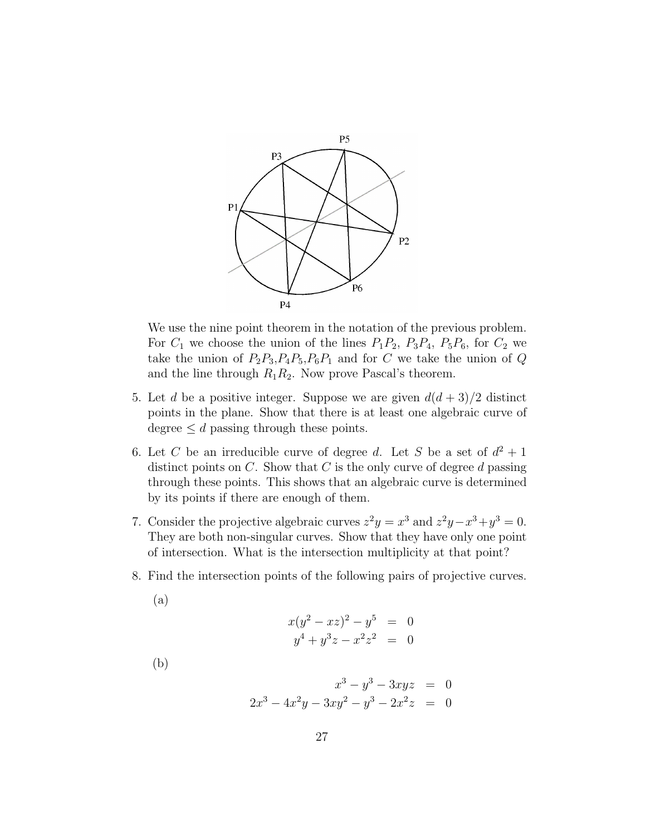

We use the nine point theorem in the notation of the previous problem. For  $C_1$  we choose the union of the lines  $P_1P_2$ ,  $P_3P_4$ ,  $P_5P_6$ , for  $C_2$  we take the union of  $P_2P_3, P_4P_5, P_6P_1$  and for C we take the union of Q and the line through  $R_1R_2$ . Now prove Pascal's theorem.

- 5. Let d be a positive integer. Suppose we are given  $d(d+3)/2$  distinct points in the plane. Show that there is at least one algebraic curve of degree  $\leq d$  passing through these points.
- 6. Let C be an irreducible curve of degree d. Let S be a set of  $d^2 + 1$ distinct points on  $C$ . Show that  $C$  is the only curve of degree  $d$  passing through these points. This shows that an algebraic curve is determined by its points if there are enough of them.
- 7. Consider the projective algebraic curves  $z^2y = x^3$  and  $z^2y x^3 + y^3 = 0$ . They are both non-singular curves. Show that they have only one point of intersection. What is the intersection multiplicity at that point?
- 8. Find the intersection points of the following pairs of projective curves.
	- (a)

$$
x(y^2 - xz)^2 - y^5 = 0
$$
  

$$
y^4 + y^3z - x^2z^2 = 0
$$

(b)

$$
x^{3} - y^{3} - 3xyz = 0
$$
  

$$
2x^{3} - 4x^{2}y - 3xy^{2} - y^{3} - 2x^{2}z = 0
$$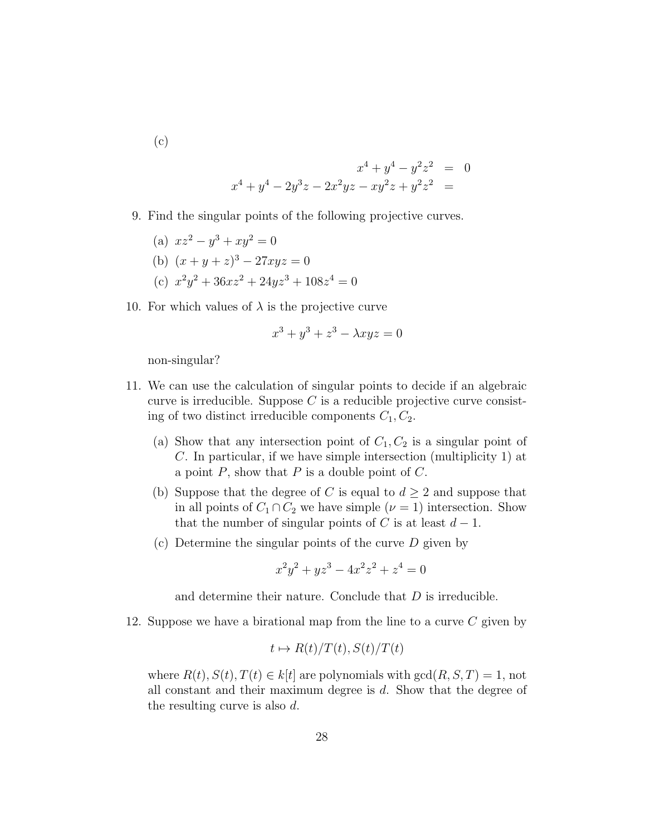(c)

$$
x^{4} + y^{4} - y^{2}z^{2} = 0
$$
  

$$
x^{4} + y^{4} - 2y^{3}z - 2x^{2}yz - xy^{2}z + y^{2}z^{2} = 0
$$

 $\overline{0}$ 

9. Find the singular points of the following projective curves.

(a) 
$$
xz^2 - y^3 + xy^2 = 0
$$
  
\n(b)  $(x + y + z)^3 - 27xyz = 0$   
\n(c)  $x^2y^2 + 36xz^2 + 24yz^3 + 108z^4 =$ 

10. For which values of  $\lambda$  is the projective curve

$$
x^3 + y^3 + z^3 - \lambda xyz = 0
$$

non-singular?

- 11. We can use the calculation of singular points to decide if an algebraic curve is irreducible. Suppose  $C$  is a reducible projective curve consisting of two distinct irreducible components  $C_1, C_2$ .
	- (a) Show that any intersection point of  $C_1, C_2$  is a singular point of C. In particular, if we have simple intersection (multiplicity 1) at a point  $P$ , show that  $P$  is a double point of  $C$ .
	- (b) Suppose that the degree of C is equal to  $d \geq 2$  and suppose that in all points of  $C_1 \cap C_2$  we have simple  $(\nu = 1)$  intersection. Show that the number of singular points of C is at least  $d-1$ .
	- (c) Determine the singular points of the curve  $D$  given by

$$
x^2y^2 + yz^3 - 4x^2z^2 + z^4 = 0
$$

and determine their nature. Conclude that D is irreducible.

12. Suppose we have a birational map from the line to a curve  $C$  given by

$$
t \mapsto R(t)/T(t), S(t)/T(t)
$$

where  $R(t), S(t), T(t) \in k[t]$  are polynomials with  $gcd(R, S, T) = 1$ , not all constant and their maximum degree is d. Show that the degree of the resulting curve is also d.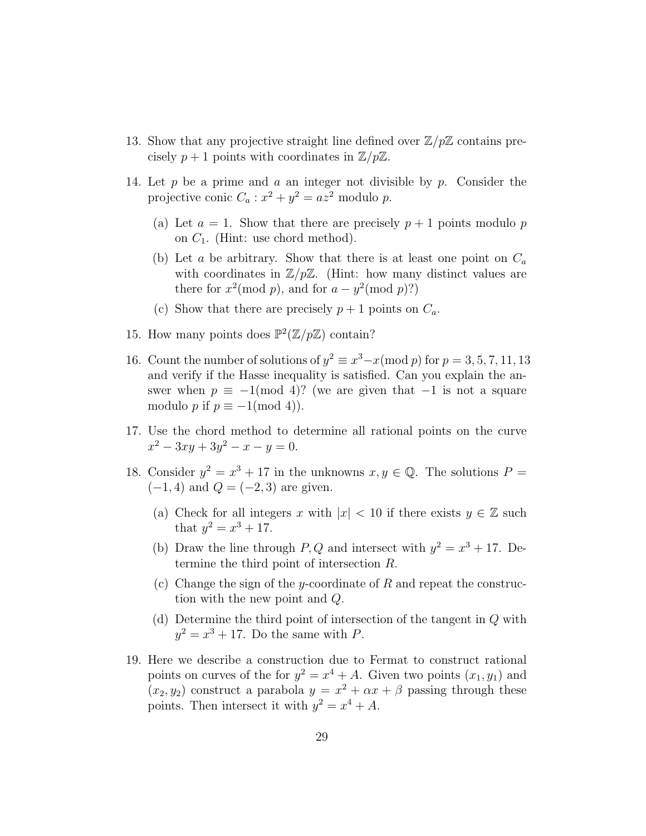- 13. Show that any projective straight line defined over  $\mathbb{Z}/p\mathbb{Z}$  contains precisely  $p + 1$  points with coordinates in  $\mathbb{Z}/p\mathbb{Z}$ .
- 14. Let p be a prime and a an integer not divisible by p. Consider the projective conic  $C_a: x^2 + y^2 = az^2$  modulo p.
	- (a) Let  $a = 1$ . Show that there are precisely  $p + 1$  points modulo p on  $C_1$ . (Hint: use chord method).
	- (b) Let a be arbitrary. Show that there is at least one point on  $C_a$ with coordinates in  $\mathbb{Z}/p\mathbb{Z}$ . (Hint: how many distinct values are there for  $x^2 \pmod{p}$ , and for  $a - y^2 \pmod{p}$ ?
	- (c) Show that there are precisely  $p + 1$  points on  $C_a$ .
- 15. How many points does  $\mathbb{P}^2(\mathbb{Z}/p\mathbb{Z})$  contain?
- 16. Count the number of solutions of  $y^2 \equiv x^3 x \pmod{p}$  for  $p = 3, 5, 7, 11, 13$ and verify if the Hasse inequality is satisfied. Can you explain the answer when  $p \equiv -1 \pmod{4}$ ? (we are given that  $-1$  is not a square modulo p if  $p \equiv -1 \pmod{4}$ .
- 17. Use the chord method to determine all rational points on the curve  $x^2 - 3xy + 3y^2 - x - y = 0.$
- 18. Consider  $y^2 = x^3 + 17$  in the unknowns  $x, y \in \mathbb{Q}$ . The solutions  $P =$  $(-1, 4)$  and  $Q = (-2, 3)$  are given.
	- (a) Check for all integers x with  $|x| < 10$  if there exists  $y \in \mathbb{Z}$  such that  $y^2 = x^3 + 17$ .
	- (b) Draw the line through P, Q and intersect with  $y^2 = x^3 + 17$ . Determine the third point of intersection R.
	- (c) Change the sign of the y-coordinate of R and repeat the construction with the new point and Q.
	- (d) Determine the third point of intersection of the tangent in Q with  $y^2 = x^3 + 17$ . Do the same with P.
- 19. Here we describe a construction due to Fermat to construct rational points on curves of the for  $y^2 = x^4 + A$ . Given two points  $(x_1, y_1)$  and  $(x_2, y_2)$  construct a parabola  $y = x^2 + \alpha x + \beta$  passing through these points. Then intersect it with  $y^2 = x^4 + A$ .